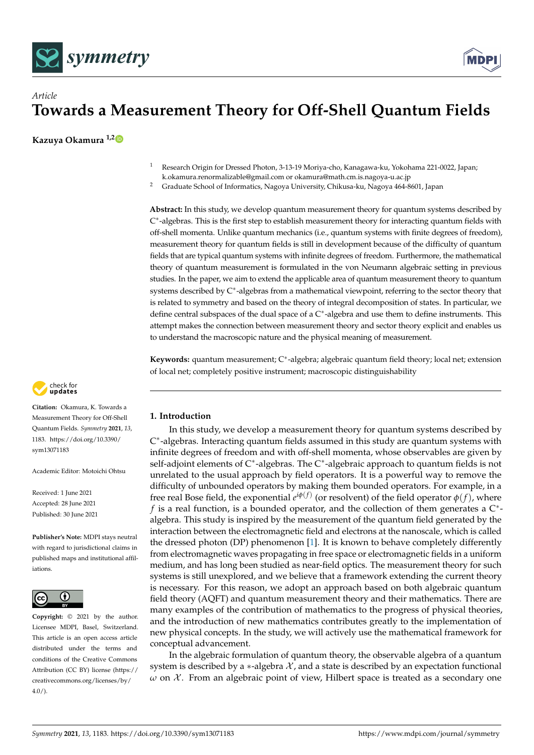

# *Article* **Towards a Measurement Theory for Off-Shell Quantum Fields**

**Kazuya Okamura 1,[2](https://orcid.org/0000-0001-9223-5920)**

- <sup>1</sup> Research Origin for Dressed Photon, 3-13-19 Moriya-cho, Kanagawa-ku, Yokohama 221-0022, Japan; k.okamura.renormalizable@gmail.com or okamura@math.cm.is.nagoya-u.ac.jp
- <sup>2</sup> Graduate School of Informatics, Nagoya University, Chikusa-ku, Nagoya 464-8601, Japan

**Abstract:** In this study, we develop quantum measurement theory for quantum systems described by C ∗ -algebras. This is the first step to establish measurement theory for interacting quantum fields with off-shell momenta. Unlike quantum mechanics (i.e., quantum systems with finite degrees of freedom), measurement theory for quantum fields is still in development because of the difficulty of quantum fields that are typical quantum systems with infinite degrees of freedom. Furthermore, the mathematical theory of quantum measurement is formulated in the von Neumann algebraic setting in previous studies. In the paper, we aim to extend the applicable area of quantum measurement theory to quantum systems described by C<sup>\*</sup>-algebras from a mathematical viewpoint, referring to the sector theory that is related to symmetry and based on the theory of integral decomposition of states. In particular, we define central subspaces of the dual space of a C<sup>∗</sup>-algebra and use them to define instruments. This attempt makes the connection between measurement theory and sector theory explicit and enables us to understand the macroscopic nature and the physical meaning of measurement.

**Keywords:** quantum measurement; C<sup>∗</sup> -algebra; algebraic quantum field theory; local net; extension of local net; completely positive instrument; macroscopic distinguishability

# **1. Introduction**

In this study, we develop a measurement theory for quantum systems described by C ∗ -algebras. Interacting quantum fields assumed in this study are quantum systems with infinite degrees of freedom and with off-shell momenta, whose observables are given by self-adjoint elements of C\*-algebras. The C\*-algebraic approach to quantum fields is not unrelated to the usual approach by field operators. It is a powerful way to remove the difficulty of unbounded operators by making them bounded operators. For example, in a free real Bose field, the exponential  $e^{i\phi(f)}$  (or resolvent) of the field operator  $\phi(f)$ , where *f* is a real function, is a bounded operator, and the collection of them generates a C<sup>∗</sup>algebra. This study is inspired by the measurement of the quantum field generated by the interaction between the electromagnetic field and electrons at the nanoscale, which is called the dressed photon (DP) phenomenon [\[1\]](#page-17-0). It is known to behave completely differently from electromagnetic waves propagating in free space or electromagnetic fields in a uniform medium, and has long been studied as near-field optics. The measurement theory for such systems is still unexplored, and we believe that a framework extending the current theory is necessary. For this reason, we adopt an approach based on both algebraic quantum field theory (AQFT) and quantum measurement theory and their mathematics. There are many examples of the contribution of mathematics to the progress of physical theories, and the introduction of new mathematics contributes greatly to the implementation of new physical concepts. In the study, we will actively use the mathematical framework for conceptual advancement.

In the algebraic formulation of quantum theory, the observable algebra of a quantum system is described by a  $*$ -algebra  $X$ , and a state is described by an expectation functional  $\omega$  on  $\chi$ . From an algebraic point of view, Hilbert space is treated as a secondary one



**Citation:** Okamura, K. Towards a Measurement Theory for Off-Shell Quantum Fields. *Symmetry* **2021**, *13*, 1183. [https://doi.org/10.3390/](https://doi.org/10.3390/sym13071183) [sym13071183](https://doi.org/10.3390/sym13071183)

Academic Editor: Motoichi Ohtsu

Received: 1 June 2021 Accepted: 28 June 2021 Published: 30 June 2021

**Publisher's Note:** MDPI stays neutral with regard to jurisdictional claims in published maps and institutional affiliations.



**Copyright:** © 2021 by the author. Licensee MDPI, Basel, Switzerland. This article is an open access article distributed under the terms and conditions of the Creative Commons Attribution (CC BY) license (https:/[/](https://creativecommons.org/licenses/by/4.0/) [creativecommons.org/licenses/by/](https://creativecommons.org/licenses/by/4.0/)  $4.0/$ ).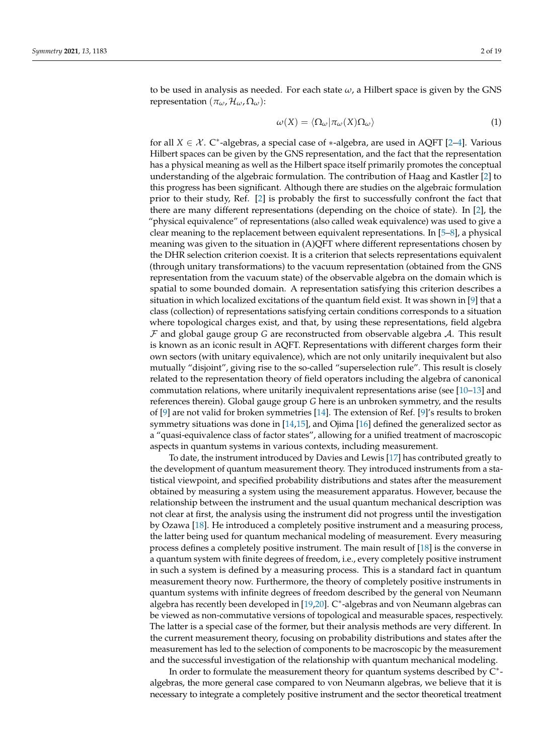to be used in analysis as needed. For each state *ω*, a Hilbert space is given by the GNS representation ( $\pi_{\omega}$ ,  $\mathcal{H}_{\omega}$ ,  $\Omega_{\omega}$ ):

$$
\omega(X) = \langle \Omega_{\omega} | \pi_{\omega}(X) \Omega_{\omega} \rangle \tag{1}
$$

for all  $X \in \mathcal{X}$ . C<sup>\*</sup>-algebras, a special case of \*-algebra, are used in AQFT [\[2](#page-17-1)[–4\]](#page-17-2). Various Hilbert spaces can be given by the GNS representation, and the fact that the representation has a physical meaning as well as the Hilbert space itself primarily promotes the conceptual understanding of the algebraic formulation. The contribution of Haag and Kastler [\[2\]](#page-17-1) to this progress has been significant. Although there are studies on the algebraic formulation prior to their study, Ref. [\[2\]](#page-17-1) is probably the first to successfully confront the fact that there are many different representations (depending on the choice of state). In [\[2\]](#page-17-1), the "physical equivalence" of representations (also called weak equivalence) was used to give a clear meaning to the replacement between equivalent representations. In [\[5–](#page-17-3)[8\]](#page-17-4), a physical meaning was given to the situation in (A)QFT where different representations chosen by the DHR selection criterion coexist. It is a criterion that selects representations equivalent (through unitary transformations) to the vacuum representation (obtained from the GNS representation from the vacuum state) of the observable algebra on the domain which is spatial to some bounded domain. A representation satisfying this criterion describes a situation in which localized excitations of the quantum field exist. It was shown in [\[9\]](#page-17-5) that a class (collection) of representations satisfying certain conditions corresponds to a situation where topological charges exist, and that, by using these representations, field algebra F and global gauge group *G* are reconstructed from observable algebra A. This result is known as an iconic result in AQFT. Representations with different charges form their own sectors (with unitary equivalence), which are not only unitarily inequivalent but also mutually "disjoint", giving rise to the so-called "superselection rule". This result is closely related to the representation theory of field operators including the algebra of canonical commutation relations, where unitarily inequivalent representations arise (see [\[10–](#page-17-6)[13\]](#page-17-7) and references therein). Global gauge group *G* here is an unbroken symmetry, and the results of [\[9\]](#page-17-5) are not valid for broken symmetries [\[14\]](#page-17-8). The extension of Ref. [\[9\]](#page-17-5)'s results to broken symmetry situations was done in [\[14,](#page-17-8)[15\]](#page-17-9), and Ojima [\[16\]](#page-17-10) defined the generalized sector as a "quasi-equivalence class of factor states", allowing for a unified treatment of macroscopic aspects in quantum systems in various contexts, including measurement.

To date, the instrument introduced by Davies and Lewis [\[17\]](#page-17-11) has contributed greatly to the development of quantum measurement theory. They introduced instruments from a statistical viewpoint, and specified probability distributions and states after the measurement obtained by measuring a system using the measurement apparatus. However, because the relationship between the instrument and the usual quantum mechanical description was not clear at first, the analysis using the instrument did not progress until the investigation by Ozawa [\[18\]](#page-17-12). He introduced a completely positive instrument and a measuring process, the latter being used for quantum mechanical modeling of measurement. Every measuring process defines a completely positive instrument. The main result of [\[18\]](#page-17-12) is the converse in a quantum system with finite degrees of freedom, i.e., every completely positive instrument in such a system is defined by a measuring process. This is a standard fact in quantum measurement theory now. Furthermore, the theory of completely positive instruments in quantum systems with infinite degrees of freedom described by the general von Neumann algebra has recently been developed in [\[19](#page-17-13)[,20\]](#page-17-14). C<sup>∗</sup> -algebras and von Neumann algebras can be viewed as non-commutative versions of topological and measurable spaces, respectively. The latter is a special case of the former, but their analysis methods are very different. In the current measurement theory, focusing on probability distributions and states after the measurement has led to the selection of components to be macroscopic by the measurement and the successful investigation of the relationship with quantum mechanical modeling.

In order to formulate the measurement theory for quantum systems described by  $\overline{C}^*$ algebras, the more general case compared to von Neumann algebras, we believe that it is necessary to integrate a completely positive instrument and the sector theoretical treatment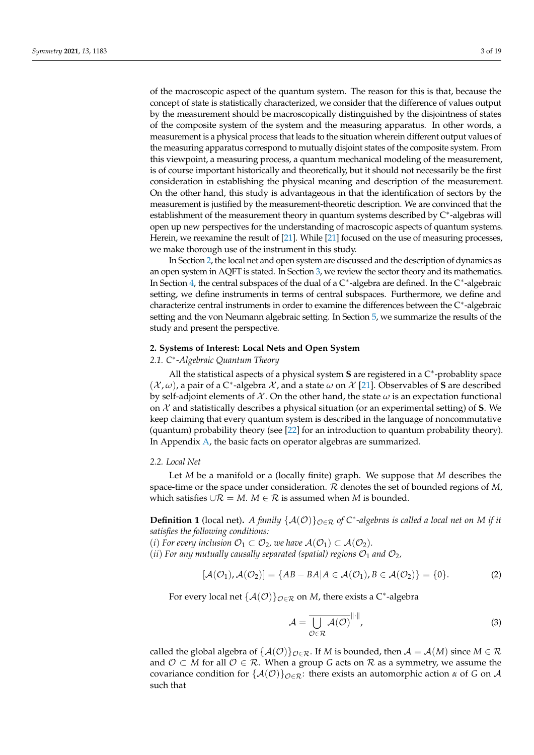of the macroscopic aspect of the quantum system. The reason for this is that, because the concept of state is statistically characterized, we consider that the difference of values output by the measurement should be macroscopically distinguished by the disjointness of states of the composite system of the system and the measuring apparatus. In other words, a measurement is a physical process that leads to the situation wherein different output values of the measuring apparatus correspond to mutually disjoint states of the composite system. From this viewpoint, a measuring process, a quantum mechanical modeling of the measurement, is of course important historically and theoretically, but it should not necessarily be the first consideration in establishing the physical meaning and description of the measurement. On the other hand, this study is advantageous in that the identification of sectors by the measurement is justified by the measurement-theoretic description. We are convinced that the establishment of the measurement theory in quantum systems described by C<sup>\*</sup>-algebras will open up new perspectives for the understanding of macroscopic aspects of quantum systems. Herein, we reexamine the result of [\[21\]](#page-17-15). While [\[21\]](#page-17-15) focused on the use of measuring processes, we make thorough use of the instrument in this study.

In Section [2,](#page-2-0) the local net and open system are discussed and the description of dynamics as an open system in AQFT is stated. In Section [3,](#page-4-0) we review the sector theory and its mathematics. In Section [4,](#page-7-0) the central subspaces of the dual of a C<sup>\*</sup>-algebra are defined. In the C<sup>\*</sup>-algebraic setting, we define instruments in terms of central subspaces. Furthermore, we define and characterize central instruments in order to examine the differences between the C<sup>∗</sup> -algebraic setting and the von Neumann algebraic setting. In Section [5,](#page-9-0) we summarize the results of the study and present the perspective.

## <span id="page-2-0"></span>**2. Systems of Interest: Local Nets and Open System**

# *2.1. C*<sup>∗</sup> *-Algebraic Quantum Theory*

All the statistical aspects of a physical system **S** are registered in a C<sup>∗</sup> -probablity space (X , *ω*), a pair of a C<sup>∗</sup> -algebra X , and a state *ω* on X [\[21\]](#page-17-15). Observables of **S** are described by self-adjoint elements of  $X$ . On the other hand, the state  $\omega$  is an expectation functional on X and statistically describes a physical situation (or an experimental setting) of **S**. We keep claiming that every quantum system is described in the language of noncommutative (quantum) probability theory (see [\[22\]](#page-17-16) for an introduction to quantum probability theory). In Appendix [A,](#page-13-0) the basic facts on operator algebras are summarized.

#### *2.2. Local Net*

Let *M* be a manifold or a (locally finite) graph. We suppose that *M* describes the space-time or the space under consideration. R denotes the set of bounded regions of *M*, which satisfies ∪ $\mathcal{R} = M$ . *M* ∈  $\mathcal{R}$  is assumed when *M* is bounded.

**Definition 1** (local net). *A family*  $\{A(O)\}_{O \in \mathcal{R}}$  *of*  $C^*$ -algebras is called a local net on M if it *satisfies the following conditions:*

(*i*) For every inclusion  $\mathcal{O}_1 \subset \mathcal{O}_2$ , we have  $\mathcal{A}(\mathcal{O}_1) \subset \mathcal{A}(\mathcal{O}_2)$ .

(*ii*) For any mutually causally separated (spatial) regions  $\mathcal{O}_1$  and  $\mathcal{O}_2$ ,

$$
[\mathcal{A}(\mathcal{O}_1), \mathcal{A}(\mathcal{O}_2)] = \{AB - BA | A \in \mathcal{A}(\mathcal{O}_1), B \in \mathcal{A}(\mathcal{O}_2)\} = \{0\}.
$$
 (2)

For every local net  $\{\mathcal{A}(\mathcal{O})\}_{\mathcal{O}\in\mathcal{R}}$  on M, there exists a C<sup>\*</sup>-algebra

$$
\mathcal{A} = \frac{1}{\bigcup_{\mathcal{O} \in \mathcal{R}} \mathcal{A}(\mathcal{O})} ||\cdot||, \tag{3}
$$

called the global algebra of  $\{A(\mathcal{O})\}_{\mathcal{O}\in\mathcal{R}}$ . If *M* is bounded, then  $A = A(M)$  since  $M \in \mathcal{R}$ and  $\mathcal{O} \subset M$  for all  $\mathcal{O} \in \mathcal{R}$ . When a group *G* acts on  $\mathcal{R}$  as a symmetry, we assume the covariance condition for  $\{\mathcal{A}(\mathcal{O})\}_{\mathcal{O}\in\mathcal{R}}$ : there exists an automorphic action *α* of *G* on *A* such that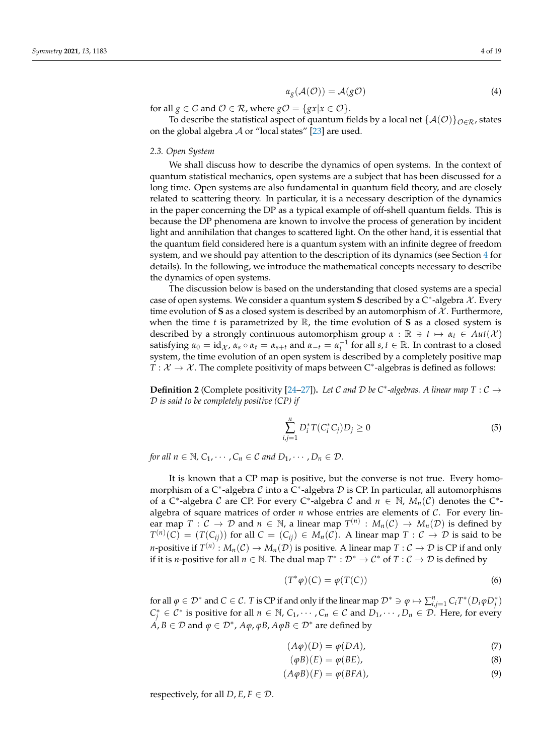$$
\alpha_{g}(\mathcal{A}(\mathcal{O})) = \mathcal{A}(g\mathcal{O})
$$
\n<sup>(4)</sup>

for all  $g \in G$  and  $\mathcal{O} \in \mathcal{R}$ , where  $g\mathcal{O} = \{gx | x \in \mathcal{O}\}.$ 

To describe the statistical aspect of quantum fields by a local net  $\{\mathcal{A}(\mathcal{O})\}_{\mathcal{O}\in\mathcal{R}}$ , states on the global algebra  $A$  or "local states" [\[23\]](#page-17-17) are used.

# *2.3. Open System*

We shall discuss how to describe the dynamics of open systems. In the context of quantum statistical mechanics, open systems are a subject that has been discussed for a long time. Open systems are also fundamental in quantum field theory, and are closely related to scattering theory. In particular, it is a necessary description of the dynamics in the paper concerning the DP as a typical example of off-shell quantum fields. This is because the DP phenomena are known to involve the process of generation by incident light and annihilation that changes to scattered light. On the other hand, it is essential that the quantum field considered here is a quantum system with an infinite degree of freedom system, and we should pay attention to the description of its dynamics (see Section [4](#page-7-0) for details). In the following, we introduce the mathematical concepts necessary to describe the dynamics of open systems.

The discussion below is based on the understanding that closed systems are a special case of open systems. We consider a quantum system S described by a  $C^*$ -algebra  $\mathcal{X}$ . Every time evolution of **S** as a closed system is described by an automorphism of  $\mathcal{X}$ . Furthermore, when the time *t* is parametrized by  $\mathbb{R}$ , the time evolution of **S** as a closed system is described by a strongly continuous automorphism group  $\alpha$  :  $\mathbb{R} \ni t \mapsto \alpha_t \in Aut(X)$ satisfying  $\alpha_0 = \text{id}_{\mathcal{X}}$ ,  $\alpha_s \circ \alpha_t = \alpha_{s+t}$  and  $\alpha_{-t} = \alpha_t^{-1}$  for all  $s, t \in \mathbb{R}$ . In contrast to a closed system, the time evolution of an open system is described by a completely positive map  $T: \mathcal{X} \to \mathcal{X}$ . The complete positivity of maps between C<sup>\*</sup>-algebras is defined as follows:

**Definition 2** (Complete positivity [\[24–](#page-17-18)[27\]](#page-17-19)). Let C and D be C<sup>\*</sup>-algebras. A linear map  $T: C \rightarrow$ D *is said to be completely positive (CP) if*

$$
\sum_{i,j=1}^{n} D_i^* T(C_i^* C_j) D_j \ge 0
$$
\n(5)

*for all*  $n \in \mathbb{N}$ ,  $C_1, \cdots, C_n \in \mathcal{C}$  *and*  $D_1, \cdots, D_n \in \mathcal{D}$ .

It is known that a CP map is positive, but the converse is not true. Every homomorphism of a C<sup>\*</sup>-algebra  $\mathcal C$  into a C<sup>\*</sup>-algebra  $\mathcal D$  is CP. In particular, all automorphisms of a C<sup>\*</sup>-algebra C are CP. For every C<sup>\*</sup>-algebra C and  $n \in \mathbb{N}$ ,  $M_n(\mathcal{C})$  denotes the C<sup>\*</sup>algebra of square matrices of order *n* whose entries are elements of C. For every linear map  $T: \mathcal{C} \to \mathcal{D}$  and  $n \in \mathbb{N}$ , a linear map  $T^{(n)}: M_n(\mathcal{C}) \to M_n(\mathcal{D})$  is defined by  $T^{(n)}(C) = (T(C_{ij}))$  for all  $C = (C_{ij}) \in M_n(\mathcal{C})$ . A linear map  $T: \mathcal{C} \to \mathcal{D}$  is said to be *n*-positive if  $T^{(n)}:M_n(\mathcal{C})\to M_n(\mathcal{D})$  is positive. A linear map  $T:\mathcal{C}\to\mathcal{D}$  is CP if and only if it is *n*-positive for all  $n \in \mathbb{N}$ . The dual map  $T^* : \mathcal{D}^* \to \mathcal{C}^*$  of  $T : \mathcal{C} \to \mathcal{D}$  is defined by

$$
(T^*\varphi)(C) = \varphi(T(C))
$$
\n(6)

for all  $\varphi \in \mathcal{D}^*$  and  $C \in \mathcal{C}$ . *T* is CP if and only if the linear map  $\mathcal{D}^* \ni \varphi \mapsto \sum_{i,j=1}^n C_i T^*(D_i \varphi D_j^*)$ *C*<sup>\*</sup> ∈ *C*<sup>\*</sup> is positive for all *n* ∈ N, *C*<sub>1</sub>,  $\cdots$  , *C<sub>n</sub>* ∈ *C* and *D*<sub>1</sub>,  $\cdots$  , *D<sub>n</sub>* ∈ *D*. Here, for every  $A,B\in\mathcal{D}$  and  $\varphi\in\mathcal{D}^*$  ,  $A\varphi$  ,  $\varphi B$  ,  $A\varphi B\in\mathcal{D}^*$  are defined by

$$
(A\varphi)(D) = \varphi(DA),\tag{7}
$$

$$
(\varphi B)(E) = \varphi(BE), \tag{8}
$$

$$
(A\varphi B)(F) = \varphi(BFA),\tag{9}
$$

respectively, for all  $D, E, F \in \mathcal{D}$ .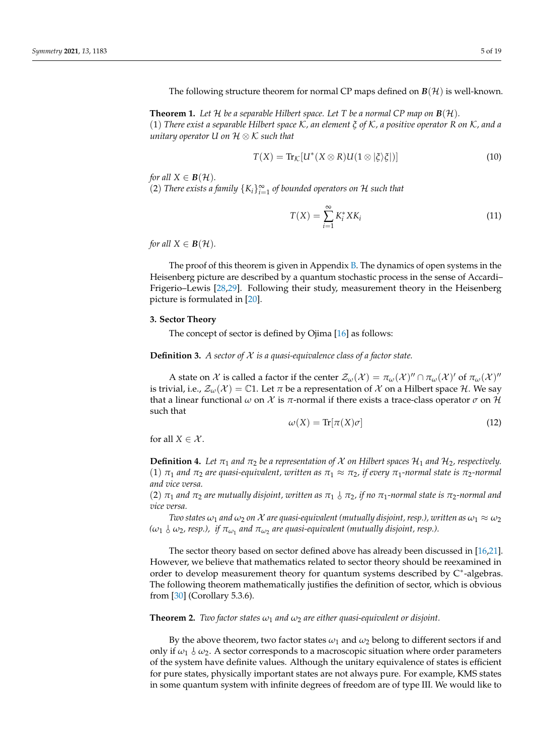The following structure theorem for normal CP maps defined on  $B(\mathcal{H})$  is well-known.

<span id="page-4-1"></span>**Theorem 1.** Let H be a separable Hilbert space. Let T be a normal CP map on  $B(H)$ . (1) *There exist a separable Hilbert space* K*, an element ξ of* K*, a positive operator R on* K*, and a unitary operator U on* H ⊗ K *such that*

$$
T(X) = \text{Tr}_{\mathcal{K}}[U^*(X \otimes R)U(1 \otimes |\xi\rangle \xi])]
$$
\n(10)

*for all*  $X \in B(H)$ *.* 

(2) *There exists a family*  $\{K_i\}_{i=1}^{\infty}$  *of bounded operators on*  $H$  *such that* 

$$
T(X) = \sum_{i=1}^{\infty} K_i^* X K_i
$$
\n(11)

*for all*  $X \in B(H)$ *.* 

The proof of this theorem is given in Appendix [B.](#page-14-0) The dynamics of open systems in the Heisenberg picture are described by a quantum stochastic process in the sense of Accardi– Frigerio–Lewis [\[28,](#page-17-20)[29\]](#page-17-21). Following their study, measurement theory in the Heisenberg picture is formulated in [\[20\]](#page-17-14).

#### <span id="page-4-0"></span>**3. Sector Theory**

The concept of sector is defined by Ojima [\[16\]](#page-17-10) as follows:

**Definition 3.** *A sector of* X *is a quasi-equivalence class of a factor state.*

A state on  $\mathcal X$  is called a factor if the center  $\mathcal Z_\omega(\mathcal X)=\pi_\omega(\mathcal X)''\cap\pi_\omega(\mathcal X)'$  of  $\pi_\omega(\mathcal X)''$ is trivial, i.e.,  $\mathcal{Z}_{\omega}(\mathcal{X}) = \mathbb{C}1$ . Let  $\pi$  be a representation of  $\mathcal X$  on a Hilbert space  $\mathcal H$ . We say that a linear functional  $ω$  on  $\mathcal X$  is  $π$ -normal if there exists a trace-class operator  $σ$  on  $\mathcal H$ such that

$$
\omega(X) = \text{Tr}[\pi(X)\sigma] \tag{12}
$$

for all  $X \in \mathcal{X}$ .

**Definition 4.** Let  $\pi_1$  and  $\pi_2$  be a representation of X on Hilbert spaces  $\mathcal{H}_1$  and  $\mathcal{H}_2$ , respectively.  $(1)$   $\pi_1$  *and*  $\pi_2$  *are quasi-equivalent, written as*  $\pi_1 \approx \pi_2$ *, if every*  $\pi_1$ -normal state is  $\pi_2$ -normal *and vice versa.*

 $(2)$   $\pi_1$  *and*  $\pi_2$  *are mutually disjoint, written as*  $\pi_1$  *δ*  $\pi_2$ *, if no*  $\pi_1$ *-normal state is*  $\pi_2$ *-normal and vice versa.*

*Two states*  $\omega_1$  *and*  $\omega_2$  *on* X are quasi-equivalent (mutually disjoint, resp.), written as  $\omega_1 \approx \omega_2$  $(\omega_1 \& \omega_2$ , resp.), if  $\pi_{\omega_1}$  and  $\pi_{\omega_2}$  are quasi-equivalent (mutually disjoint, resp.).

The sector theory based on sector defined above has already been discussed in [\[16](#page-17-10)[,21\]](#page-17-15). However, we believe that mathematics related to sector theory should be reexamined in order to develop measurement theory for quantum systems described by C<sup>∗</sup> -algebras. The following theorem mathematically justifies the definition of sector, which is obvious from [\[30\]](#page-17-22) (Corollary 5.3.6).

**Theorem 2.** *Two factor states*  $\omega_1$  *and*  $\omega_2$  *are either quasi-equivalent or disjoint.* 

By the above theorem, two factor states  $\omega_1$  and  $\omega_2$  belong to different sectors if and only if  $\omega_1 \&set \omega_2$ . A sector corresponds to a macroscopic situation where order parameters of the system have definite values. Although the unitary equivalence of states is efficient for pure states, physically important states are not always pure. For example, KMS states in some quantum system with infinite degrees of freedom are of type III. We would like to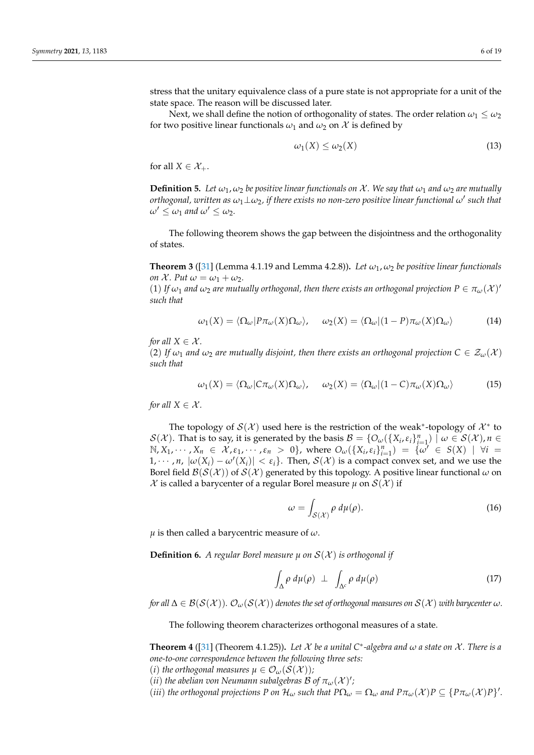stress that the unitary equivalence class of a pure state is not appropriate for a unit of the state space. The reason will be discussed later.

Next, we shall define the notion of orthogonality of states. The order relation  $\omega_1 \leq \omega_2$ for two positive linear functionals  $\omega_1$  and  $\omega_2$  on X is defined by

$$
\omega_1(X) \le \omega_2(X) \tag{13}
$$

for all  $X \in \mathcal{X}_+$ .

**Definition 5.** Let  $\omega_1, \omega_2$  be positive linear functionals on X. We say that  $\omega_1$  and  $\omega_2$  are mutually  $\sigma$ *orthogonal, written as ω*<sub>1</sub>⊥ $ω$ <sub>2</sub>, if there exists no non-zero positive linear functional  $ω'$  such that  $\omega' < \omega_1$  *and*  $\omega' < \omega_2$ *.* 

The following theorem shows the gap between the disjointness and the orthogonality of states.

<span id="page-5-0"></span>**Theorem 3** ([\[31\]](#page-17-23) (Lemma 4.1.19 and Lemma 4.2.8)). Let  $\omega_1$ ,  $\omega_2$  be positive linear functionals *on*  $\mathcal{X}$ *. Put*  $\omega = \omega_1 + \omega_2$ *.* 

(1) If  $\omega_1$  and  $\omega_2$  are mutually orthogonal, then there exists an orthogonal projection  $P \in \pi_\omega(\mathcal{X})'$ *such that*

$$
\omega_1(X) = \langle \Omega_{\omega} | P \pi_{\omega}(X) \Omega_{\omega} \rangle, \quad \omega_2(X) = \langle \Omega_{\omega} | (1 - P) \pi_{\omega}(X) \Omega_{\omega} \rangle \tag{14}
$$

*for all*  $X \in \mathcal{X}$ *.* 

(2) If  $\omega_1$  and  $\omega_2$  are mutually disjoint, then there exists an orthogonal projection  $C \in \mathcal{Z}_{\omega}(\mathcal{X})$ *such that*

$$
\omega_1(X) = \langle \Omega_{\omega} | C\pi_{\omega}(X)\Omega_{\omega} \rangle, \quad \omega_2(X) = \langle \Omega_{\omega} | (1 - C)\pi_{\omega}(X)\Omega_{\omega} \rangle \tag{15}
$$

*for all*  $X \in \mathcal{X}$ *.* 

The topology of  $\mathcal{S}(\mathcal{X})$  used here is the restriction of the weak<sup>\*</sup>-topology of  $\mathcal{X}^*$  to  $\mathcal{S}(\mathcal{X})$ . That is to say, it is generated by the basis  $\mathcal{B} = \{O_\omega(\{X_i, \varepsilon_i\}_{i=1}^n) \mid \omega \in \mathcal{S}(\mathcal{X}), n \in \mathcal{S}(\mathcal{X})\}$  $N, X_1, \dots, X_n \in \mathcal{X}, \varepsilon_1, \dots, \varepsilon_n > 0$ , where  $O_\omega(\{X_i, \varepsilon_i\}_{i=1}^n) = {\omega' \in S(X) \mid \forall i = 1, \dots, n}$  $1, \dots, n$ ,  $|\omega(X_i) - \omega'(X_i)| < \varepsilon_i$ . Then,  $\mathcal{S}(\mathcal{X})$  is a compact convex set, and we use the Borel field  $\mathcal{B}(\mathcal{S}(\mathcal{X}))$  of  $\mathcal{S}(\mathcal{X})$  generated by this topology. A positive linear functional  $\omega$  on  $\mathcal X$  is called a barycenter of a regular Borel measure  $\mu$  on  $\mathcal S(\mathcal X)$  if

$$
\omega = \int_{\mathcal{S}(\mathcal{X})} \rho \, d\mu(\rho). \tag{16}
$$

*µ* is then called a barycentric measure of *ω*.

**Definition 6.** *A regular Borel measure*  $\mu$  *on*  $S(\mathcal{X})$  *is orthogonal if* 

$$
\int_{\Delta} \rho \, d\mu(\rho) \perp \int_{\Delta^c} \rho \, d\mu(\rho) \tag{17}
$$

*for all*  $\Delta \in \mathcal{B}(\mathcal{S}(\mathcal{X}))$ *.*  $\mathcal{O}_{\omega}(\mathcal{S}(\mathcal{X}))$  *denotes the set of orthogonal measures on*  $\mathcal{S}(\mathcal{X})$  *with barycenter*  $\omega$ *.* 

The following theorem characterizes orthogonal measures of a state.

<span id="page-5-1"></span>**Theorem 4** ([\[31\]](#page-17-23) (Theorem 4.1.25)). Let  $X$  be a unital C<sup>\*</sup>-algebra and  $\omega$  a state on  $X$ . There is a *one-to-one correspondence between the following three sets:*

- (*i*) *the orthogonal measures*  $\mu \in \mathcal{O}_{\omega}(\mathcal{S}(\mathcal{X}))$ ;
- (*ii*) *the abelian von Neumann subalgebras*  $\mathcal B$  *of*  $\pi_\omega(\mathcal X)$ ';
- (*iii*) *the orthogonal projections*  $P$  *on*  $\mathcal{H}_\omega$  *such that*  $P\Omega_\omega = \Omega_\omega$  *and*  $P\pi_\omega(\mathcal{X})P \subseteq \{P\pi_\omega(\mathcal{X})P\}'$ .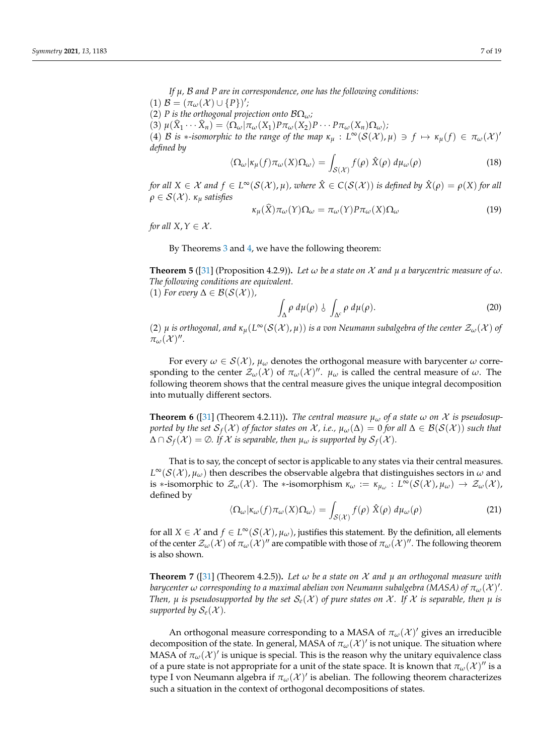*If µ,* B *and P are in correspondence, one has the following conditions:*

(1)  $\mathcal{B} = (\pi_{\omega}(\mathcal{X}) \cup \{P\})'$ ;

(2) *P* is the orthogonal projection onto  $B\Omega_{\omega}$ ;

 $(3)$   $\mu(\hat{X}_1 \cdots \hat{X}_n) = \langle \Omega_\omega | \pi_\omega(X_1) P \pi_\omega(X_2) P \cdots P \pi_\omega(X_n) \Omega_\omega \rangle;$ 

(4) B is \*-isomorphic to the range of the map  $\kappa_{\mu}: L^{\infty}(S(\mathcal{X}), \mu) \ni f \mapsto \kappa_{\mu}(f) \in \pi_{\omega}(\mathcal{X})'$ *defined by*

$$
\langle \Omega_{\omega} | \kappa_{\mu}(f) \pi_{\omega}(X) \Omega_{\omega} \rangle = \int_{\mathcal{S}(\mathcal{X})} f(\rho) \ \hat{X}(\rho) \ d\mu_{\omega}(\rho) \tag{18}
$$

*for all*  $X \in \mathcal{X}$  *and*  $f \in L^{\infty}(\mathcal{S}(\mathcal{X}), \mu)$ *, where*  $\hat{X} \in C(\mathcal{S}(\mathcal{X}))$  *is defined by*  $\hat{X}(\rho) = \rho(X)$  *for all*  $\rho \in \mathcal{S}(\mathcal{X})$ *.*  $\kappa_u$  *satisfies* 

$$
\kappa_{\mu}(\hat{X})\pi_{\omega}(Y)\Omega_{\omega} = \pi_{\omega}(Y)P\pi_{\omega}(X)\Omega_{\omega}
$$
\n(19)

*for all*  $X, Y \in \mathcal{X}$ *.* 

By Theorems [3](#page-5-0) and [4,](#page-5-1) we have the following theorem:

**Theorem 5** ([\[31\]](#page-17-23) (Proposition 4.2.9)). Let  $\omega$  be a state on X and  $\mu$  a barycentric measure of  $\omega$ . *The following conditions are equivalent.* (1) *For every*  $\Delta$  ∈  $\mathcal{B}(\mathcal{S}(\mathcal{X}))$ *,* 

$$
\int_{\Delta} \rho \, d\mu(\rho) \, \delta \, \int_{\Delta^c} \rho \, d\mu(\rho). \tag{20}
$$

(2) *µ is orthogonal, and κµ*(*L* <sup>∞</sup>(S(X ), *µ*)) *is a von Neumann subalgebra of the center* Z*ω*(X ) *of*  $\pi_\omega(\mathcal{X})''$ .

For every  $\omega \in \mathcal{S}(\mathcal{X})$ ,  $\mu_{\omega}$  denotes the orthogonal measure with barycenter  $\omega$  corresponding to the center  $\mathcal{Z}_{\omega}(\mathcal{X})$  of  $\pi_{\omega}(\mathcal{X})''$ .  $\mu_{\omega}$  is called the central measure of  $\omega$ . The following theorem shows that the central measure gives the unique integral decomposition into mutually different sectors.

**Theorem 6** ([\[31\]](#page-17-23) (Theorem 4.2.11)). *The central measure*  $\mu_{\omega}$  *of a state*  $\omega$  *on*  $\chi$  *is pseudosupported by the set*  $\mathcal{S}_f(\mathcal{X})$  *of factor states on*  $\mathcal{X}$ *, i.e.,*  $\mu_\omega(\Delta)=0$  *for all*  $\Delta\in\mathcal{B}(\mathcal{S}(\mathcal{X}))$  *such that*  $\Delta \cap \mathcal{S}_f(\mathcal{X}) = \emptyset$ . If  $\mathcal X$  is separable, then  $\mu_\omega$  is supported by  $\mathcal{S}_f(\mathcal{X})$ .

That is to say, the concept of sector is applicable to any states via their central measures.  $L^\infty({\cal S}({\cal X}),\mu_\omega)$  then describes the observable algebra that distinguishes sectors in  $\omega$  and is ∗-isomorphic to  $\mathcal{Z}_{\omega}(\mathcal{X})$ . The ∗-isomorphism  $\kappa_{\omega} := \kappa_{\mu_{\omega}} : L^{\infty}(\mathcal{S}(\mathcal{X}), \mu_{\omega}) \to \mathcal{Z}_{\omega}(\mathcal{X})$ , defined by

$$
\langle \Omega_{\omega} | \kappa_{\omega}(f) \pi_{\omega}(X) \Omega_{\omega} \rangle = \int_{\mathcal{S}(\mathcal{X})} f(\rho) \ \hat{X}(\rho) \ d\mu_{\omega}(\rho) \tag{21}
$$

for all  $X \in \mathcal{X}$  and  $f \in L^{\infty}(\mathcal{S}(\mathcal{X}), \mu_{\omega})$ , justifies this statement. By the definition, all elements of the center  $\mathcal{Z}_{\omega}(\mathcal{X})$  of  $\pi_{\omega}(\mathcal{X})''$  are compatible with those of  $\pi_{\omega}(\mathcal{X})''$ . The following theorem is also shown.

**Theorem 7** ([\[31\]](#page-17-23) (Theorem 4.2.5))**.** *Let ω be a state on* X *and µ an orthogonal measure with* barycenter  $\omega$  corresponding to a maximal abelian von Neumann subalgebra (MASA) of  $\pi_{\omega}(\mathcal{X})'.$ *Then,*  $\mu$  *is pseudosupported by the set*  $S_e(\mathcal{X})$  *of pure states on*  $\mathcal{X}$ *. If*  $\mathcal{X}$  *is separable, then*  $\mu$  *is supported by*  $S_e(X)$ *.* 

An orthogonal measure corresponding to a MASA of  $\pi_\omega(\mathcal{X})'$  gives an irreducible decomposition of the state. In general, MASA of  $\pi_{\omega}(\mathcal{X})'$  is not unique. The situation where MASA of  $\pi_\omega(\mathcal{X})'$  is unique is special. This is the reason why the unitary equivalence class of a pure state is not appropriate for a unit of the state space. It is known that  $\pi_\omega(\mathcal{X})''$  is a type I von Neumann algebra if  $\pi_\omega(\mathcal{X})'$  is abelian. The following theorem characterizes such a situation in the context of orthogonal decompositions of states.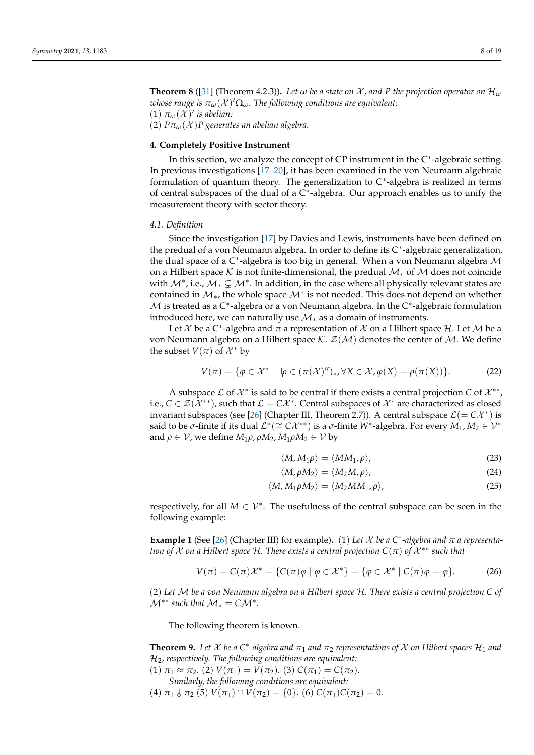**Theorem 8** ([\[31\]](#page-17-23) (Theorem 4.2.3)). Let  $\omega$  be a state on  $\mathcal{X}$ , and P the projection operator on  $\mathcal{H}_{\omega}$  $\omega$ hose range is  $\pi_\omega(\mathcal{X})'\Omega_\omega$ . The following conditions are equivalent: (1)  $\pi_{\omega}(\mathcal{X})'$  *is abelian;* 

(2)  $P\pi_{\omega}(\mathcal{X})P$  generates an abelian algebra.

## <span id="page-7-0"></span>**4. Completely Positive Instrument**

In this section, we analyze the concept of  $CP$  instrument in the  $C^*$ -algebraic setting. In previous investigations [\[17](#page-17-11)[–20\]](#page-17-14), it has been examined in the von Neumann algebraic formulation of quantum theory. The generalization to C<sup>∗</sup> -algebra is realized in terms of central subspaces of the dual of a  $C^*$ -algebra. Our approach enables us to unify the measurement theory with sector theory.

# *4.1. Definition*

Since the investigation [\[17\]](#page-17-11) by Davies and Lewis, instruments have been defined on the predual of a von Neumann algebra. In order to define its C<sup>∗</sup> -algebraic generalization, the dual space of a C<sup>\*</sup>-algebra is too big in general. When a von Neumann algebra  $\mathcal M$ on a Hilbert space K is not finite-dimensional, the predual  $\mathcal{M}_*$  of  $\mathcal M$  does not coincide with  $\mathcal{M}^*$ , i.e.,  $\mathcal{M}_* \subsetneq \mathcal{M}^*$ . In addition, in the case where all physically relevant states are contained in  $\mathcal{M}_*$ , the whole space  $\mathcal{M}^*$  is not needed. This does not depend on whether  $M$  is treated as a C<sup>\*</sup>-algebra or a von Neumann algebra. In the C<sup>\*</sup>-algebraic formulation introduced here, we can naturally use  $\mathcal{M}_*$  as a domain of instruments.

Let  $\mathcal X$  be a C<sup>∗</sup>-algebra and  $\pi$  a representation of  $\mathcal X$  on a Hilbert space  $\mathcal H$ . Let  $\mathcal M$  be a von Neumann algebra on a Hilbert space  $K$ .  $\mathcal{Z}(\mathcal{M})$  denotes the center of M. We define the subset  $V(\pi)$  of  $\mathcal{X}^*$  by

$$
V(\pi) = \{ \varphi \in \mathcal{X}^* \mid \exists \rho \in (\pi(\mathcal{X})'')_*, \forall X \in \mathcal{X}, \varphi(X) = \rho(\pi(X)) \}. \tag{22}
$$

A subspace  $\mathcal L$  of  $\mathcal X^*$  is said to be central if there exists a central projection *C* of  $\mathcal X^{**}$ , i.e.,  $C \in \mathcal{Z}(\tilde{\mathcal{X}}^{**})$ , such that  $\mathcal{L} = C\mathcal{X}^*$ . Central subspaces of  $\mathcal{X}^*$  are characterized as closed invariant subspaces (see [\[26\]](#page-17-24) (Chapter III, Theorem 2.7)). A central subspace  $\mathcal{L} (= C\mathcal{X}^*)$  is said to be *σ*-finite if its dual  $\mathcal{L}^*(\cong C\mathcal{X}^{**})$  is a *σ*-finite  $W^*$ -algebra. For every  $M_1, M_2 \in \mathcal{V}^*$ and  $\rho \in V$ , we define  $M_1 \rho$ ,  $\rho M_2$ ,  $M_1 \rho M_2 \in V$  by

$$
\langle M, M_1 \rho \rangle = \langle M M_1, \rho \rangle, \tag{23}
$$

$$
\langle M, \rho M_2 \rangle = \langle M_2 M, \rho \rangle, \tag{24}
$$

$$
\langle M, M_1 \rho M_2 \rangle = \langle M_2 M M_1, \rho \rangle, \tag{25}
$$

respectively, for all  $M \in \mathcal{V}^*$ . The usefulness of the central subspace can be seen in the following example:

**Example 1** (See [\[26\]](#page-17-24) (Chapter III) for example). (1) Let  $X$  be a C<sup>\*</sup>-algebra and  $\pi$  a representa*tion of* X *on a Hilbert space* H. There exists a central projection  $C(\pi)$  of  $\mathcal{X}^{**}$  such that

$$
V(\pi) = C(\pi)\mathcal{X}^* = \{C(\pi)\varphi \mid \varphi \in \mathcal{X}^*\} = \{\varphi \in \mathcal{X}^* \mid C(\pi)\varphi = \varphi\}.
$$
 (26)

(2) *Let* M *be a von Neumann algebra on a Hilbert space* H*. There exists a central projection C of*  $\mathcal{M}^{**}$  *such that*  $\mathcal{M}_* = C\mathcal{M}^*$ *.* 

The following theorem is known.

<span id="page-7-1"></span>**Theorem 9.** Let  $\mathcal X$  be a  $C^*$ -algebra and  $\pi_1$  and  $\pi_2$  representations of  $\mathcal X$  on Hilbert spaces  $\mathcal H_1$  and H2*, respectively. The following conditions are equivalent:*

- $(1)$   $\pi_1 \approx \pi_2$ . (2)  $V(\pi_1) = V(\pi_2)$ . (3)  $C(\pi_1) = C(\pi_2)$ . *Similarly, the following conditions are equivalent:*
- $(4)$   $\pi_1$   $\circ$   $\pi_2$  (5)  $V(\pi_1) \cap V(\pi_2) = \{0\}$ . (6)  $C(\pi_1)C(\pi_2) = 0$ .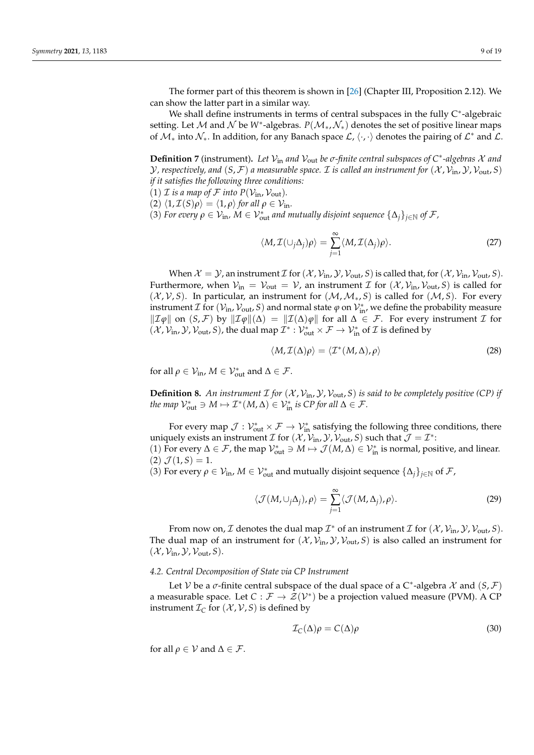The former part of this theorem is shown in [\[26\]](#page-17-24) (Chapter III, Proposition 2.12). We can show the latter part in a similar way.

We shall define instruments in terms of central subspaces in the fully C<sup>\*</sup>-algebraic setting. Let M and N be W<sup>∗</sup>-algebras.  $P(\mathcal{M}_*, \mathcal{N}_*)$  denotes the set of positive linear maps of  $\mathcal{M}_*$  into  $\mathcal{N}_*$ . In addition, for any Banach space  $\mathcal{L}, \langle \cdot, \cdot \rangle$  denotes the pairing of  $\mathcal{L}^*$  and  $\mathcal{L}$ .

**Definition 7** (instrument)**.** *Let* Vin *and* Vout *be σ-finite central subspaces of C*<sup>∗</sup> *-algebras* X *and*  $Y$ , respectively, and  $(S, \mathcal{F})$  a measurable space. *I* is called an instrument for  $(X, V_{\text{in}}, Y, V_{\text{out}}, S)$ *if it satisfies the following three conditions:*

(1)  $\mathcal I$  *is a map of*  $\mathcal F$  *into*  $P(\mathcal V_{\text{in}}^{\mathcal V}, \mathcal V_{\text{out}}^{\mathcal V})$ .

 $(2)$   $\langle 1, \mathcal{I}(S)\rho \rangle = \langle 1, \rho \rangle$  *for all*  $\rho \in \mathcal{V}_{\text{in}}$ *.* 

 $(3)$  *For every*  $\rho \in V_{\text{in}}$ ,  $M \in V_{\text{out}}^*$  and mutually disjoint sequence  $\{\Delta_j\}_{j \in \mathbb{N}}$  of  $\mathcal{F}$ ,

$$
\langle M, \mathcal{I}(\cup_j \Delta_j) \rho \rangle = \sum_{j=1}^{\infty} \langle M, \mathcal{I}(\Delta_j) \rho \rangle.
$$
 (27)

When  $X = Y$ , an instrument *I* for  $(X, V_{\text{in}}, Y, V_{\text{out}}, S)$  is called that, for  $(X, V_{\text{in}}, V_{\text{out}}, S)$ . Furthermore, when  $V_{\text{in}} = V_{\text{out}} = V$ , an instrument *I* for  $(X, V_{\text{in}}, V_{\text{out}}, S)$  is called for  $(\mathcal{X}, \mathcal{V}, S)$ . In particular, an instrument for  $(\mathcal{M}, \mathcal{M}_*, S)$  is called for  $(\mathcal{M}, S)$ . For every instrument  $\mathcal I$  for  $(\mathcal V_{\rm in}, \mathcal V_{\rm out}, S)$  and normal state  $\varphi$  on  $\mathcal V_{\rm in}^*$ , we define the probability measure  $\mathcal{I}\{\mathcal{I}\varphi\}$  on (*S*, F) by  $\mathcal{I}\{\mathcal{I}\varphi\}$  (Δ) =  $\mathcal{I}\{\mathcal{I}(\Delta)\varphi\}$  for all  $\Delta \in \mathcal{F}$ . For every instrument *I* for  $(\mathcal{X}, \mathcal{V}_{\text{in}}, \mathcal{Y}, \mathcal{V}_{\text{out}}, S)$ , the dual map  $\mathcal{I}^* : \mathcal{V}_{\text{out}}^* \times \mathcal{F} \to \mathcal{V}_{\text{in}}^*$  of  $\mathcal{I}$  is defined by

$$
\langle M, \mathcal{I}(\Delta)\rho \rangle = \langle \mathcal{I}^*(M, \Delta), \rho \rangle \tag{28}
$$

for all  $\rho \in \mathcal{V}_{\text{in}}$ ,  $M \in \mathcal{V}_{\text{out}}^*$  and  $\Delta \in \mathcal{F}$ .

**Definition 8.** An instrument  $\mathcal{I}$  for  $(\mathcal{X}, \mathcal{V}_{\text{in}}, \mathcal{Y}, \mathcal{V}_{\text{out}}, S)$  is said to be completely positive (CP) if  $the map \mathcal{V}_{out}^* \ni M \mapsto \mathcal{I}^*(M, \Delta) \in \mathcal{V}_{in}^*$  *is CP for all*  $\Delta \in \mathcal{F}$ *.* 

For every map  $\mathcal{J}: \mathcal{V}_{out}^*\times\mathcal{F}\to\mathcal{V}_{in}^*$  satisfying the following three conditions, there uniquely exists an instrument *I* for  $(\overline{\mathcal{X}}, \mathcal{V}_{\text{in}}, \mathcal{Y}, \mathcal{V}_{\text{out}}, S)$  such that  $\mathcal{J} = \mathcal{I}^*$ :

(1) For every Δ ∈ *F*, the map  $V_{out}^*$  ∋  $M \mapsto J(M, Δ) \in V_{in}^*$  is normal, positive, and linear.  $(2)$   $\mathcal{J}(1, S) = 1.$ 

(3) For every  $\rho \in V_{\text{in}}$ ,  $M \in V_{\text{out}}^*$  and mutually disjoint sequence  $\{\Delta_j\}_{j \in \mathbb{N}}$  of  $\mathcal{F}$ ,

$$
\langle \mathcal{J}(M, \cup_j \Delta_j), \rho \rangle = \sum_{j=1}^{\infty} \langle \mathcal{J}(M, \Delta_j), \rho \rangle.
$$
 (29)

From now on,  $\mathcal I$  denotes the dual map  $\mathcal I^*$  of an instrument  $\mathcal I$  for  $(\mathcal X, \mathcal V_\text{in}, \mathcal Y, \mathcal V_\text{out}, S)$ . The dual map of an instrument for  $(\mathcal{X}, \mathcal{V}_{\text{in}}, \mathcal{Y}, \mathcal{V}_{\text{out}}, S)$  is also called an instrument for  $(X, V_{\text{in}}, Y, V_{\text{out}}, S)$ .

#### *4.2. Central Decomposition of State via CP Instrument*

Let  $\mathcal V$  be a  $\sigma$ -finite central subspace of the dual space of a C<sup>\*</sup>-algebra  $\mathcal X$  and  $(S, \mathcal F)$ a measurable space. Let  $C: \mathcal{F} \to \mathcal{Z}(\mathcal{V}^*)$  be a projection valued measure (PVM). A CP instrument  $\mathcal{I}_C$  for  $(\mathcal{X}, \mathcal{V}, S)$  is defined by

$$
\mathcal{I}_{\mathcal{C}}(\Delta)\rho = \mathcal{C}(\Delta)\rho \tag{30}
$$

for all  $\rho \in \mathcal{V}$  and  $\Delta \in \mathcal{F}$ .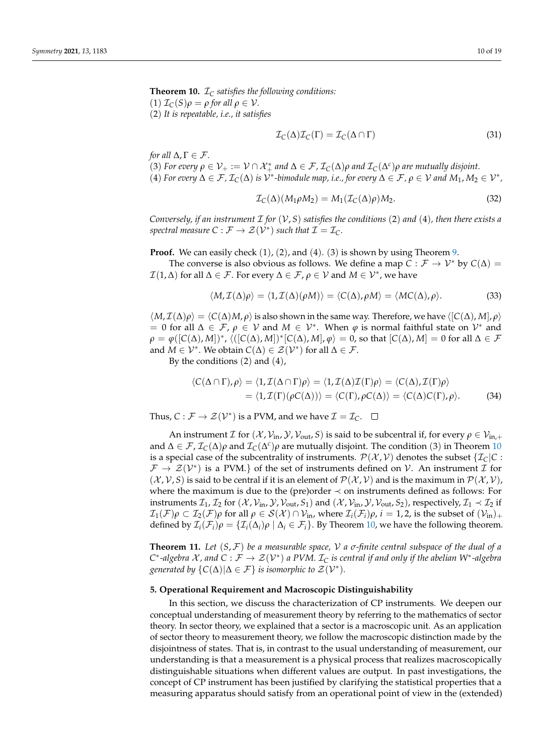<span id="page-9-1"></span>**Theorem 10.**  $\mathcal{I}_C$  *satisfies the following conditions:*  $(1)$   $\mathcal{I}_C(S)\rho = \rho$  *for all*  $\rho \in \mathcal{V}$ *.* (2) *It is repeatable, i.e., it satisfies*

$$
\mathcal{I}_{C}(\Delta)\mathcal{I}_{C}(\Gamma) = \mathcal{I}_{C}(\Delta \cap \Gamma)
$$
\n(31)

*for all*  $\Delta, \Gamma \in \mathcal{F}$ *.* 

(3) *For every*  $\rho \in V_+ := V \cap \mathcal{X}_+^*$  *and*  $\Delta \in \mathcal{F}$ ,  $\mathcal{I}_C(\Delta) \rho$  *and*  $\mathcal{I}_C(\Delta^c) \rho$  *are mutually disjoint.*  $(4)$  *For every*  $\Delta \in \mathcal{F}$ ,  $\mathcal{I}_C(\Delta)$  *is*  $\mathcal{V}^*$ -bimodule map, i.e., for every  $\Delta \in \mathcal{F}$ ,  $\rho \in \mathcal{V}$  and  $M_1, M_2 \in \mathcal{V}^*$ ,

$$
\mathcal{I}_{C}(\Delta)(M_{1}\rho M_{2}) = M_{1}(\mathcal{I}_{C}(\Delta)\rho)M_{2}.
$$
\n(32)

*Conversely, if an instrument* I *for* (V, *S*) *satisfies the conditions* (2) *and* (4)*, then there exists a*  $\mathcal{Z}(\mathcal{V}^*)$  such that  $\mathcal{I} = \mathcal{I}_C$ .

**Proof.** We can easily check  $(1)$ ,  $(2)$ , and  $(4)$ .  $(3)$  is shown by using Theorem [9.](#page-7-1)

The converse is also obvious as follows. We define a map  $C : \mathcal{F} \to \mathcal{V}^*$  by  $C(\Delta) =$  $\mathcal{I}(1,\Delta)$  for all  $\Delta \in \mathcal{F}$ . For every  $\Delta \in \mathcal{F}$ ,  $\rho \in \mathcal{V}$  and  $M \in \mathcal{V}^*$ , we have

$$
\langle M, \mathcal{I}(\Delta)\rho \rangle = \langle 1, \mathcal{I}(\Delta)(\rho M) \rangle = \langle C(\Delta), \rho M \rangle = \langle M C(\Delta), \rho \rangle.
$$
 (33)

 $\langle M, \mathcal{I}(\Delta)\rho\rangle = \langle C(\Delta)M, \rho\rangle$  is also shown in the same way. Therefore, we have  $\langle C(\Delta), M |, \rho\rangle$  $= 0$  for all Δ ∈ F,  $ρ ∈ V$  and  $M ∈ V<sup>*</sup>$ . When  $φ$  is normal faithful state on  $V<sup>*</sup>$  and  $\rho = \varphi([C(\Delta), M])^*, \langle ([C(\Delta), M])^* [C(\Delta), M], \varphi \rangle = 0$ , so that  $[C(\Delta), M] = 0$  for all  $\Delta \in \mathcal{F}$ and  $M \in \mathcal{V}^*$ . We obtain  $C(\Delta) \in \mathcal{Z}(\mathcal{V}^*)$  for all  $\Delta \in \mathcal{F}$ .

By the conditions (2) and (4),

$$
\langle C(\Delta \cap \Gamma), \rho \rangle = \langle 1, \mathcal{I}(\Delta \cap \Gamma) \rho \rangle = \langle 1, \mathcal{I}(\Delta) \mathcal{I}(\Gamma) \rho \rangle = \langle C(\Delta), \mathcal{I}(\Gamma) \rho \rangle
$$
  
=  $\langle 1, \mathcal{I}(\Gamma)(\rho C(\Delta)) \rangle = \langle C(\Gamma), \rho C(\Delta) \rangle = \langle C(\Delta) C(\Gamma), \rho \rangle.$  (34)

Thus,  $C: \mathcal{F} \to \mathcal{Z}(\mathcal{V}^*)$  is a PVM, and we have  $\mathcal{I} = \mathcal{I}_C$ .

An instrument *I* for  $(X, V_{\text{in}}, Y, V_{\text{out}}, S)$  is said to be subcentral if, for every  $\rho \in V_{\text{in},+}$ and  $\Delta \in \mathcal{F}$ ,  $\mathcal{I}_C(\Delta)\rho$  and  $\mathcal{I}_C(\Delta^c)\rho$  are mutually disjoint. The condition (3) in Theorem [10](#page-9-1) is a special case of the subcentrality of instruments.  $\mathcal{P}(\mathcal{X}, \mathcal{V})$  denotes the subset  $\{\mathcal{I}_C | C :$  $\mathcal{F} \to \mathcal{Z}(V^*)$  is a PVM.} of the set of instruments defined on V. An instrument  $\mathcal{I}$  for  $(\mathcal{X}, \mathcal{V}, S)$  is said to be central if it is an element of  $\mathcal{P}(\mathcal{X}, \mathcal{V})$  and is the maximum in  $\mathcal{P}(\mathcal{X}, \mathcal{V})$ , where the maximum is due to the (pre)order  $\prec$  on instruments defined as follows: For instruments  $\mathcal{I}_1$ ,  $\mathcal{I}_2$  for  $(\mathcal{X}, \mathcal{V}_{\text{in}}, \mathcal{Y}, \mathcal{V}_{\text{out}}, S_1)$  and  $(\mathcal{X}, \mathcal{V}_{\text{in}}, \mathcal{Y}, \mathcal{V}_{\text{out}}, S_2)$ , respectively,  $\mathcal{I}_1 \prec \mathcal{I}_2$  if  $\mathcal{I}_1(\mathcal{F})\rho \subset \mathcal{I}_2(\mathcal{F})\rho$  for all  $\rho \in \mathcal{S}(\mathcal{X}) \cap \mathcal{V}_{\text{in}}$ , where  $\mathcal{I}_i(\mathcal{F}_i)\rho$ ,  $i = 1, 2$ , is the subset of  $(\mathcal{V}_{\text{in}})_+$ defined by  $\mathcal{I}_i(\mathcal{F}_i)\rho = \{\mathcal{I}_i(\Delta_i)\rho \mid \Delta_i \in \mathcal{F}_i\}$ . By Theorem [10,](#page-9-1) we have the following theorem.

**Theorem 11.** *Let* (*S*, F) *be a measurable space,* V *a σ-finite central subspace of the dual of a*  $C^*$ -algebra  $\mathcal X$ , and  $C: \mathcal F \to \mathcal Z(\mathcal V^*)$  a PVM.  $\mathcal I_C$  is central if and only if the abelian W<sup>∗</sup>-algebra *generated by*  $\{C(\Delta) | \Delta \in \mathcal{F} \}$  *is isomorphic to*  $\mathcal{Z}(\mathcal{V}^*)$ *.* 

#### <span id="page-9-0"></span>**5. Operational Requirement and Macroscopic Distinguishability**

In this section, we discuss the characterization of CP instruments. We deepen our conceptual understanding of measurement theory by referring to the mathematics of sector theory. In sector theory, we explained that a sector is a macroscopic unit. As an application of sector theory to measurement theory, we follow the macroscopic distinction made by the disjointness of states. That is, in contrast to the usual understanding of measurement, our understanding is that a measurement is a physical process that realizes macroscopically distinguishable situations when different values are output. In past investigations, the concept of CP instrument has been justified by clarifying the statistical properties that a measuring apparatus should satisfy from an operational point of view in the (extended)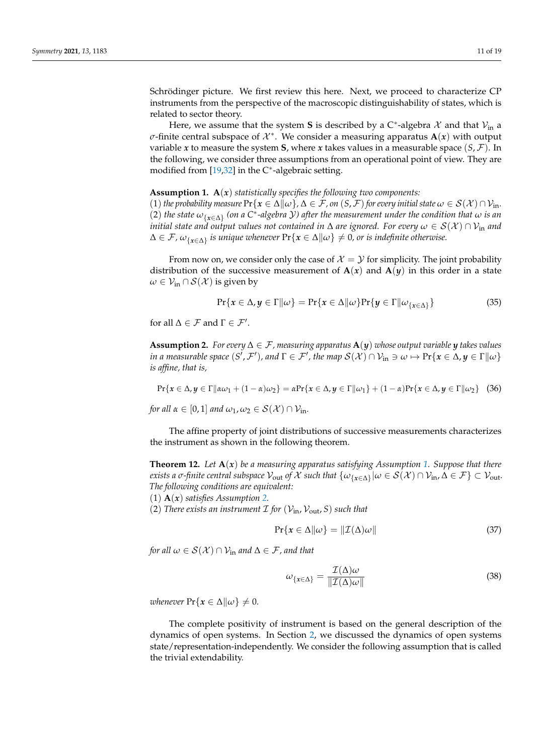Schrödinger picture. We first review this here. Next, we proceed to characterize CP instruments from the perspective of the macroscopic distinguishability of states, which is related to sector theory.

Here, we assume that the system **S** is described by a C<sup>\*</sup>-algebra  $\mathcal{X}$  and that  $\mathcal{V}_{\text{in}}$  a  $\sigma$ -finite central subspace of  $\mathcal{X}^*$ . We consider a measuring apparatus  $\mathbf{A}(x)$  with output variable *x* to measure the system **S**, where *x* takes values in a measurable space  $(S, \mathcal{F})$ . In the following, we consider three assumptions from an operational point of view. They are modified from [\[19](#page-17-13)[,32\]](#page-17-25) in the C<sup>\*</sup>-algebraic setting.

#### <span id="page-10-0"></span>**Assumption 1.**  $A(x)$  *statistically specifies the following two components:*

(1) the probability measure  $\Pr\{x \in \Delta | \omega\}$ ,  $\Delta \in \mathcal{F}$ , on  $(S, \mathcal{F})$  for every initial state  $\omega \in \mathcal{S}(\mathcal{X}) \cap \mathcal{V}_{\text{in}}$ . (2) *the state*  $\omega_{\{x \in \Delta\}}$  (on a C<sup>\*</sup>-algebra *Y*) after the measurement under the condition that  $\omega$  is an *initial state and output values not contained in*  $\Delta$  *are ignored. For every*  $\omega \in S(\mathcal{X}) \cap \mathcal{V}_{\text{in}}$  *and*  $\Delta\in\mathcal{F}$ ,  $\omega_{\{\textbf{x}\in\Delta\}}$  is unique whenever  $\Pr\{\textbf{x}\in\Delta\|\omega\}\neq 0$ , or is indefinite otherwise.

From now on, we consider only the case of  $\mathcal{X} = \mathcal{Y}$  for simplicity. The joint probability distribution of the successive measurement of  $A(x)$  and  $A(y)$  in this order in a state  $\omega \in \mathcal{V}_{\text{in}} \cap \mathcal{S}(\mathcal{X})$  is given by

$$
\Pr\{x \in \Delta, y \in \Gamma \|\omega\} = \Pr\{x \in \Delta \|\omega\} \Pr\{y \in \Gamma \|\omega_{\{x \in \Delta\}}\}\tag{35}
$$

for all  $\Delta \in \mathcal{F}$  and  $\Gamma \in \mathcal{F}'$ .

<span id="page-10-1"></span>**Assumption 2.** *For every*  $\Delta \in \mathcal{F}$ , *measuring apparatus*  $\mathbf{A}(y)$  *whose output variable y takes values*  $i$ n a measurable space  $(S',\mathcal{F}')$ , and  $\Gamma\in\mathcal{F}'$ , the map  $\mathcal{S}(\mathcal{X})\cap\mathcal{V}_{\text{in}}\ni\omega\mapsto\Pr\{\pmb{x}\in\Delta,\pmb{y}\in\Gamma\|\omega\}$ *is affine, that is,*

$$
\Pr\{x \in \Delta, y \in \Gamma \|\alpha\omega_1 + (1-\alpha)\omega_2\} = \alpha \Pr\{x \in \Delta, y \in \Gamma \|\omega_1\} + (1-\alpha) \Pr\{x \in \Delta, y \in \Gamma \|\omega_2\} \quad (36)
$$

*for all*  $\alpha \in [0,1]$  *and*  $\omega_1, \omega_2 \in \mathcal{S}(\mathcal{X}) \cap \mathcal{V}_{\text{in}}$ .

The affine property of joint distributions of successive measurements characterizes the instrument as shown in the following theorem.

**Theorem 12.** *Let* **A**(*x*) *be a measuring apparatus satisfying Assumption [1.](#page-10-0) Suppose that there*  $e$ xists a σ-finite central subspace  $\mathcal{V}_\text{out}$  of  $\mathcal X$  such that  $\{\omega_{\{\pmb{x}\in\Delta\}} | \omega\in\mathcal S(\mathcal X)\cap\mathcal V_\text{in}$ , ∆ ∈  $\mathcal F\}\subset\mathcal V_\text{out}$ . *The following conditions are equivalent:*

(1) **A**(*x*) *satisfies Assumption [2.](#page-10-1)*

(2) *There exists an instrument*  $\mathcal{I}$  *for*  $(\mathcal{V}_{\text{in}}, \mathcal{V}_{\text{out}}, S)$  *such that* 

$$
\Pr\{x \in \Delta \|\omega\} = \|\mathcal{I}(\Delta)\omega\| \tag{37}
$$

*for all*  $\omega \in S(\mathcal{X}) \cap \mathcal{V}_{\text{in}}$  *and*  $\Delta \in \mathcal{F}$ *, and that* 

$$
\omega_{\{\mathbf{x} \in \Delta\}} = \frac{\mathcal{I}(\Delta)\omega}{\|\mathcal{I}(\Delta)\omega\|} \tag{38}
$$

*whenever*  $Pr{x \in \Delta | \omega} \neq 0$ .

The complete positivity of instrument is based on the general description of the dynamics of open systems. In Section [2,](#page-2-0) we discussed the dynamics of open systems state/representation-independently. We consider the following assumption that is called the trivial extendability.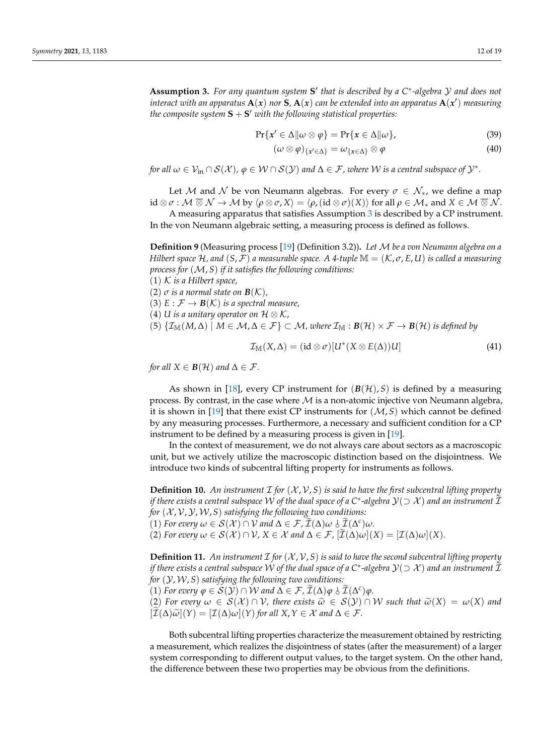<span id="page-11-0"></span>**Assumption 3.** *For any quantum system* **S** 0 *that is described by a C*<sup>∗</sup> *-algebra* Y *and does not interact with an apparatus*  $\mathbf{A}(x)$  *nor*  $\mathbf{S}$ *,*  $\mathbf{A}(x)$  *can be extended into an apparatus*  $\mathbf{A}(x')$  *measuring the composite system*  $S + S'$  *with the following statistical properties:* 

$$
\Pr\{x' \in \Delta \|\omega \otimes \varphi\} = \Pr\{x \in \Delta \|\omega\},\tag{39}
$$

$$
(\omega \otimes \varphi)_{\{\mathbf{x}' \in \Delta\}} = \omega_{\{\mathbf{x} \in \Delta\}} \otimes \varphi \tag{40}
$$

*for all*  $\omega \in \mathcal{V}_{\text{in}} \cap \mathcal{S}(\mathcal{X})$ ,  $\varphi \in \mathcal{W} \cap \mathcal{S}(\mathcal{Y})$  and  $\Delta \in \mathcal{F}$ , where  $\mathcal{W}$  is a central subspace of  $\mathcal{Y}^*$ .

Let M and N be von Neumann algebras. For every  $\sigma \in \mathcal{N}_{*}$ , we define a map  $id \otimes \sigma : \mathcal{M} \overline{\otimes} \mathcal{N} \to \mathcal{M}$  by  $\langle \rho \otimes \sigma, X \rangle = \langle \rho, (id \otimes \sigma)(X) \rangle$  for all  $\rho \in \mathcal{M}_*$  and  $X \in \mathcal{M} \overline{\otimes} \mathcal{N}$ . A measuring apparatus that satisfies Assumption [3](#page-11-0) is described by a CP instrument.

In the von Neumann algebraic setting, a measuring process is defined as follows.

**Definition 9** (Measuring process [\[19\]](#page-17-13) (Definition 3.2))**.** *Let* M *be a von Neumann algebra on a Hilbert space*  $H$ , and  $(S, \mathcal{F})$  a measurable space. A 4-tuple  $\mathbb{M} = (\mathcal{K}, \sigma, E, U)$  is called a measuring *process for* (M, *S*) *if it satisfies the following conditions:*

(1) K *is a Hilbert space,*

(2)  $\sigma$  *is a normal state on*  $B(K)$ ,

(3)  $E : \mathcal{F} \to \mathbf{B}(\mathcal{K})$  *is a spectral measure,* 

(4) *U* is a unitary operator on  $\mathcal{H} \otimes \mathcal{K}$ ,

 $(5)$   $\{ \mathcal{I}_{\mathbb{M}}(M,\Delta) \mid M \in \mathcal{M}, \Delta \in \mathcal{F} \}$  ⊂  $\mathcal{M}$ , where  $\mathcal{I}_{\mathbb{M}} : \mathcal{B}(\mathcal{H}) \times \mathcal{F} \to \mathcal{B}(\mathcal{H})$  *is defined by* 

$$
\mathcal{I}_{\mathbb{M}}(X,\Delta) = (\mathrm{id} \otimes \sigma)[U^*(X \otimes E(\Delta))U] \tag{41}
$$

*for all*  $X \in B(H)$  *and*  $\Delta \in \mathcal{F}$ *.* 

As shown in [\[18\]](#page-17-12), every CP instrument for  $(B(H), S)$  is defined by a measuring process. By contrast, in the case where  $\mathcal M$  is a non-atomic injective von Neumann algebra, it is shown in [\[19\]](#page-17-13) that there exist CP instruments for  $(M, S)$  which cannot be defined by any measuring processes. Furthermore, a necessary and sufficient condition for a CP instrument to be defined by a measuring process is given in [\[19\]](#page-17-13).

In the context of measurement, we do not always care about sectors as a macroscopic unit, but we actively utilize the macroscopic distinction based on the disjointness. We introduce two kinds of subcentral lifting property for instruments as follows.

**Definition 10.** An instrument  $\mathcal{I}$  for  $(X, Y, S)$  is said to have the first subcentral lifting property *if there exists a central subspace*  $W$  *of the dual space of a* C<sup>∗</sup>-algebra  $\mathcal{Y}(\supset \mathcal{X})$  *and an instrument*  $\widetilde{\mathcal{I}}$ *for*  $(X, V, Y, W, S)$  *satisfying the following two conditions:* 

(1) For every  $\omega \in S(\mathcal{X}) \cap \mathcal{V}$  and  $\Delta \in \mathcal{F}, \widetilde{\mathcal{I}}(\Delta) \omega \circ \widetilde{\mathcal{I}}(\Delta^c) \omega$ .

(2) *For every*  $\omega \in S(\mathcal{X}) \cap \mathcal{V}$ ,  $X \in \mathcal{X}$  and  $\Delta \in \mathcal{F}$ ,  $[\tilde{\mathcal{I}}(\Delta)\omega](X) = [\mathcal{I}(\Delta)\omega](X)$ .

**Definition 11.** An instrument  $\mathcal{I}$  for  $(\mathcal{X}, \mathcal{V}, \mathcal{S})$  is said to have the second subcentral lifting property *if there exists a central subspace*  $W$  *of the dual space of a C\*-algebra*  $\mathcal{Y}(\supset \mathcal{X})$  *and an instrument*  $\tilde{\mathcal{I}}$ *for* (Y, W, *S*) *satisfying the following two conditions:*

 $(1)$  *For every*  $\varphi \in S(\mathcal{Y}) \cap \mathcal{W}$  and  $\Delta \in \mathcal{F}$ ,  $\widetilde{\mathcal{I}}(\Delta) \varphi \downarrow \widetilde{\mathcal{I}}(\Delta^c) \varphi$ .

 $(2)$  *For every*  $\omega \in S(\mathcal{X}) \cap \mathcal{V}$ , there exists  $\tilde{\omega} \in S(\mathcal{Y}) \cap \mathcal{W}$  such that  $\tilde{\omega}(X) = \omega(X)$  and  $[\mathcal{I}(\Delta)\tilde{\omega}](Y) = [\mathcal{I}(\Delta)\omega](Y)$  for all  $X, Y \in \mathcal{X}$  and  $\Delta \in \mathcal{F}$ .

Both subcentral lifting properties characterize the measurement obtained by restricting a measurement, which realizes the disjointness of states (after the measurement) of a larger system corresponding to different output values, to the target system. On the other hand, the difference between these two properties may be obvious from the definitions.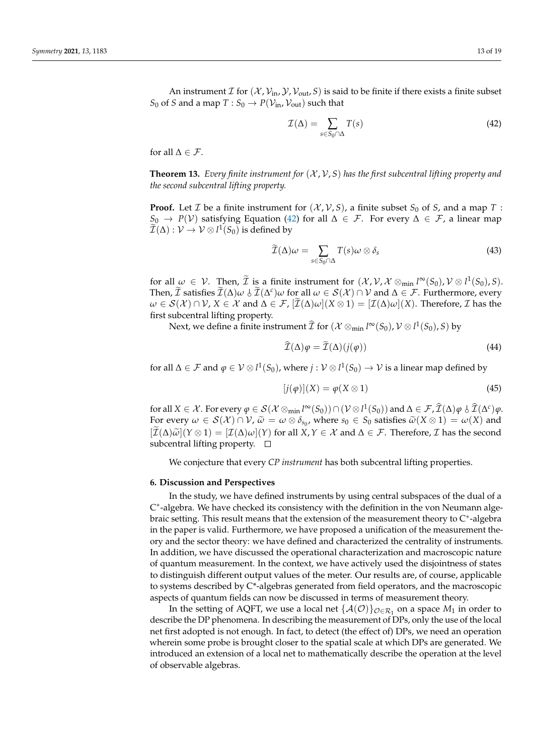An instrument *I* for  $(X, V_{\text{in}}, Y, V_{\text{out}}, S)$  is said to be finite if there exists a finite subset *S*<sup>0</sup> of *S* and a map *T* : *S*<sup>0</sup>  $\rightarrow$  *P*( $V_{\text{in}}$ ,  $V_{\text{out}}$ ) such that

<span id="page-12-0"></span>
$$
\mathcal{I}(\Delta) = \sum_{s \in S_0 \cap \Delta} T(s) \tag{42}
$$

for all  $\Delta \in \mathcal{F}$ .

**Theorem 13.** *Every finite instrument for*  $(\mathcal{X}, \mathcal{V}, S)$  *has the first subcentral lifting property and the second subcentral lifting property.*

**Proof.** Let *I* be a finite instrument for  $(\mathcal{X}, \mathcal{V}, \mathcal{S})$ , a finite subset  $S_0$  of *S*, and a map *T* : *S*<sub>0</sub> → *P*(*V*) satisfying Equation [\(42\)](#page-12-0) for all  $\Delta \in \mathcal{F}$ . For every  $\Delta \in \mathcal{F}$ , a linear map  $\widetilde{\mathcal{I}}(\Delta): \mathcal{V} \to \mathcal{V} \otimes l^1(S_0)$  is defined by

$$
\widetilde{\mathcal{I}}(\Delta)\omega = \sum_{s \in S_0 \cap \Delta} T(s)\omega \otimes \delta_s \tag{43}
$$

for all  $\omega \in \mathcal{V}$ . Then,  $\widetilde{\mathcal{I}}$  is a finite instrument for  $(\mathcal{X}, \mathcal{V}, \mathcal{X} \otimes_{\min} l^{\infty}(S_0), \mathcal{V} \otimes l^1(S_0), S)$ . Then,  $\tilde{\mathcal{I}}$  satisfies  $\tilde{\mathcal{I}}(\Delta)\omega \circ \tilde{\mathcal{I}}(\Delta^c)\omega$  for all  $\omega \in \mathcal{S}(\mathcal{X}) \cap \mathcal{V}$  and  $\Delta \in \mathcal{F}$ . Furthermore, every  $\omega \in \mathcal{S}(\mathcal{X}) \cap \mathcal{V}, X \in \mathcal{X}$  and  $\Delta \in \mathcal{F}, [\mathcal{I}(\Delta)\omega](X \otimes 1) = [\mathcal{I}(\Delta)\omega](X)$ . Therefore, *I* has the first subcentral lifting property.

Next, we define a finite instrument  $\widehat{\mathcal{I}}$  for  $(\mathcal{X} \otimes_{min} l^{\infty}(S_0), \mathcal{V} \otimes l^1(S_0), S)$  by

$$
\widehat{\mathcal{I}}(\Delta)\varphi = \widetilde{\mathcal{I}}(\Delta)(j(\varphi))\tag{44}
$$

for all  $\Delta \in \mathcal{F}$  and  $\varphi \in \mathcal{V} \otimes l^1(S_0)$ , where  $j: \mathcal{V} \otimes l^1(S_0) \to \mathcal{V}$  is a linear map defined by

$$
[j(\varphi)](X) = \varphi(X \otimes 1) \tag{45}
$$

for all  $X \in \mathcal{X}$ . For every  $\varphi \in \mathcal{S}(\mathcal{X} \otimes_{\min} l^{\infty}(S_0)) \cap (\mathcal{V} \otimes l^1(S_0))$  and  $\Delta \in \mathcal{F}, \widehat{\mathcal{I}}(\Delta) \varphi \cup \widehat{\mathcal{I}}(\Delta^c) \varphi$ . For every  $\omega \in \mathcal{S}(\mathcal{X}) \cap \mathcal{V}$ ,  $\tilde{\omega} = \omega \otimes \delta_{s_0}$ , where  $s_0 \in S_0$  satisfies  $\tilde{\omega}(X \otimes 1) = \omega(X)$  and  $\tilde{\omega}(X \otimes 1) = \tilde{\omega}(X)$  $[\mathcal{I}(\Delta)\widetilde{\omega}](Y\otimes 1) = [\mathcal{I}(\Delta)\omega](Y)$  for all  $X, Y \in \mathcal{X}$  and  $\Delta \in \mathcal{F}$ . Therefore,  $\mathcal{I}$  has the second subcentral lifting property.  $\Box$ 

We conjecture that every *CP instrument* has both subcentral lifting properties.

#### **6. Discussion and Perspectives**

In the study, we have defined instruments by using central subspaces of the dual of a C ∗ -algebra. We have checked its consistency with the definition in the von Neumann algebraic setting. This result means that the extension of the measurement theory to C<sup>∗</sup> -algebra in the paper is valid. Furthermore, we have proposed a unification of the measurement theory and the sector theory: we have defined and characterized the centrality of instruments. In addition, we have discussed the operational characterization and macroscopic nature of quantum measurement. In the context, we have actively used the disjointness of states to distinguish different output values of the meter. Our results are, of course, applicable to systems described by C\*-algebras generated from field operators, and the macroscopic aspects of quantum fields can now be discussed in terms of measurement theory.

In the setting of AQFT, we use a local net  $\{ \mathcal{A}(\mathcal{O}) \}_{\mathcal{O} \in \mathcal{R}_1}$  on a space  $M_1$  in order to describe the DP phenomena. In describing the measurement of DPs, only the use of the local net first adopted is not enough. In fact, to detect (the effect of) DPs, we need an operation wherein some probe is brought closer to the spatial scale at which DPs are generated. We introduced an extension of a local net to mathematically describe the operation at the level of observable algebras.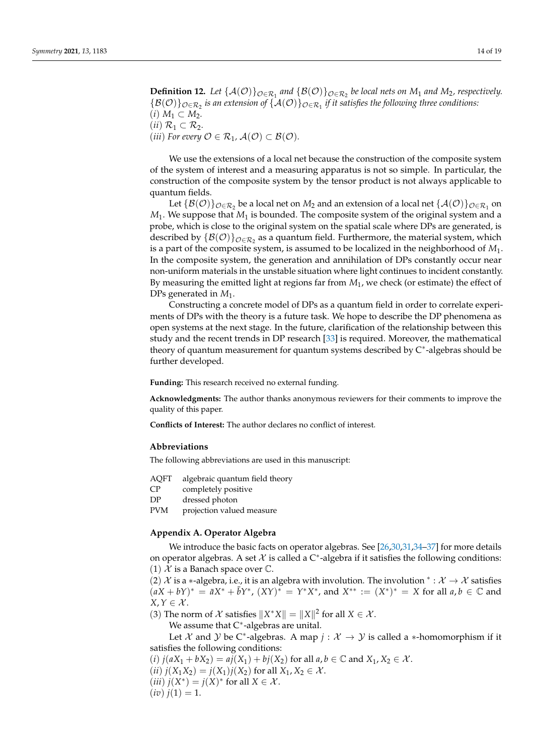**Definition 12.** Let  $\{A(O)\}_{O \in \mathcal{R}_1}$  and  $\{B(O)\}_{O \in \mathcal{R}_2}$  be local nets on  $M_1$  and  $M_2$ , respectively.  $\{\mathcal{B}(\mathcal{O})\}_{\mathcal{O}\in\mathcal{R}_2}$  is an extension of  $\{\mathcal{A}(\mathcal{O})\}_{\mathcal{O}\in\mathcal{R}_1}$  if it satisfies the following three conditions:  $(i) M_1 \subset M_2$ .  $(ii)$   $\mathcal{R}_1 \subset \mathcal{R}_2$ .

(*iii*) For every  $\mathcal{O} \in \mathcal{R}_1$ ,  $\mathcal{A}(\mathcal{O}) \subset \mathcal{B}(\mathcal{O})$ .

We use the extensions of a local net because the construction of the composite system of the system of interest and a measuring apparatus is not so simple. In particular, the construction of the composite system by the tensor product is not always applicable to quantum fields.

Let  $\{\mathcal{B}(\mathcal{O})\}_{\mathcal{O}\in\mathcal{R}_2}$  be a local net on  $M_2$  and an extension of a local net  $\{\mathcal{A}(\mathcal{O})\}_{\mathcal{O}\in\mathcal{R}_1}$  on *M*1. We suppose that *M*<sup>1</sup> is bounded. The composite system of the original system and a probe, which is close to the original system on the spatial scale where DPs are generated, is described by  $\{\mathcal{B}(\mathcal{O})\}_{\mathcal{O}\in\mathcal{R}_2}$  as a quantum field. Furthermore, the material system, which is a part of the composite system, is assumed to be localized in the neighborhood of *M*1. In the composite system, the generation and annihilation of DPs constantly occur near non-uniform materials in the unstable situation where light continues to incident constantly. By measuring the emitted light at regions far from *M*1, we check (or estimate) the effect of DPs generated in *M*1.

Constructing a concrete model of DPs as a quantum field in order to correlate experiments of DPs with the theory is a future task. We hope to describe the DP phenomena as open systems at the next stage. In the future, clarification of the relationship between this study and the recent trends in DP research [\[33\]](#page-17-26) is required. Moreover, the mathematical theory of quantum measurement for quantum systems described by C<sup>∗</sup> -algebras should be further developed.

**Funding:** This research received no external funding.

**Acknowledgments:** The author thanks anonymous reviewers for their comments to improve the quality of this paper.

**Conflicts of Interest:** The author declares no conflict of interest.

#### **Abbreviations**

The following abbreviations are used in this manuscript:

AQFT algebraic quantum field theory

- CP completely positive
- DP dressed photon
- PVM projection valued measure

# <span id="page-13-0"></span>**Appendix A. Operator Algebra**

We introduce the basic facts on operator algebras. See [\[26](#page-17-24)[,30](#page-17-22)[,31,](#page-17-23)[34](#page-17-27)[–37\]](#page-17-28) for more details on operator algebras. A set  $\mathcal X$  is called a C<sup>\*</sup>-algebra if it satisfies the following conditions: (1)  $\mathcal X$  is a Banach space over  $\mathbb C$ .

(2)  $\mathcal X$  is a \*-algebra, i.e., it is an algebra with involution. The involution  $^*$  :  $\mathcal X \to \mathcal X$  satisfies  $(aX + bY)^* = \bar{a}X^* + \bar{b}Y^*$ ,  $(XY)^* = Y^*X^*$ , and  $X^{**} := (X^*)^* = X$  for all  $a, b \in \mathbb{C}$  and  $X, Y \in \mathcal{X}$ .

(3) The norm of  $\mathcal X$  satisfies  $||X^*X|| = ||X||^2$  for all  $X \in \mathcal X$ .

We assume that C<sup>\*</sup>-algebras are unital.

Let X and Y be C<sup>\*</sup>-algebras. A map  $j : X \to Y$  is called a \*-homomorphism if it satisfies the following conditions:

(*i*) *j*( $aX_1 + bX_2$ ) =  $aj(X_1) + bj(X_2)$  for all  $a, b \in \mathbb{C}$  and  $X_1, X_2 \in \mathcal{X}$ .

 $(iii)$   $j(X_1X_2) = j(X_1)j(X_2)$  for all  $X_1, X_2 \in \mathcal{X}$ .

 $(iii)$   $j(X^*) = j(X)^*$  for all  $X \in \mathcal{X}$ .

 $(iv)$   $j(1) = 1.$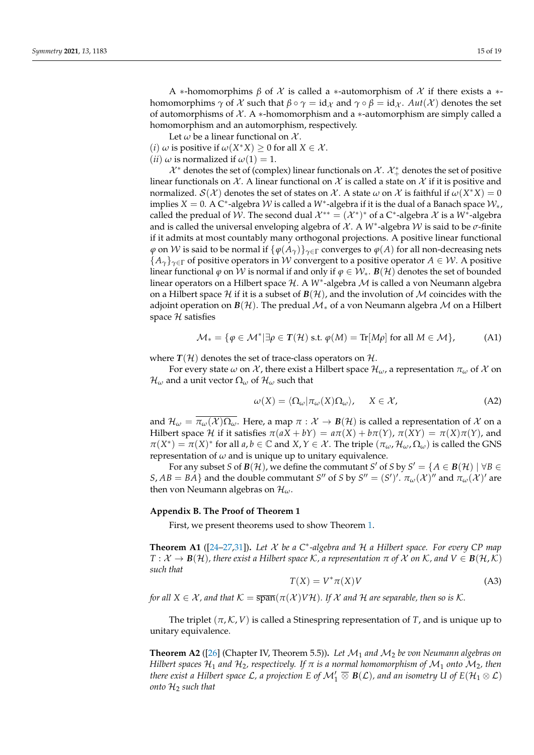A \*-homomorphims  $\beta$  of  $\chi$  is called a \*-automorphism of  $\chi$  if there exists a \*homomorphims  $\gamma$  of X such that  $\beta \circ \gamma = id_{\mathcal{X}}$  and  $\gamma \circ \beta = id_{\mathcal{X}}$ .  $Aut(\mathcal{X})$  denotes the set of automorphisms of  $X$ . A  $*$ -homomorphism and a  $*$ -automorphism are simply called a homomorphism and an automorphism, respectively.

Let  $\omega$  be a linear functional on  $\mathcal{X}$ .

(*i*)  $\omega$  is positive if  $\omega(X^*X) \ge 0$  for all  $X \in \mathcal{X}$ .

 $(iii)$  *ω* is normalized if  $\omega(1) = 1$ .

 $\mathcal{X}^*$  denotes the set of (complex) linear functionals on  $\mathcal{X}$ .  $\mathcal{X}^*_+$  denotes the set of positive linear functionals on  $\mathcal X$ . A linear functional on  $\mathcal X$  is called a state on  $\mathcal X$  if it is positive and normalized.  $\mathcal{S}(\mathcal{X})$  denotes the set of states on  $\mathcal{X}$ . A state  $\omega$  on  $\mathcal{X}$  is faithful if  $\omega(X^*X)=0$ implies *X* = 0. A C<sup>\*</sup>-algebra *W* is called a *W*<sup>\*</sup>-algebra if it is the dual of a Banach space  $W_*$ , called the predual of W. The second dual  $\mathcal{X}^{**} = (\mathcal{X}^*)^*$  of a C<sup>\*</sup>-algebra  $\mathcal X$  is a W<sup>\*</sup>-algebra and is called the universal enveloping algebra of X . A *W*<sup>∗</sup> -algebra W is said to be *σ*-finite if it admits at most countably many orthogonal projections. A positive linear functional  $ϕ$  on *W* is said to be normal if { $ϕ(Aγ)$ }<sub>γ∈Γ</sub> converges to  $ϕ(A)$  for all non-decreasing nets  ${A_{\gamma}}_{\gamma\in\Gamma}$  of positive operators in W convergent to a positive operator  $A \in \mathcal{W}$ . A positive linear functional  $\varphi$  on W is normal if and only if  $\varphi \in W_*$ .  $B(\mathcal{H})$  denotes the set of bounded linear operators on a Hilbert space H. A W<sup>∗</sup>-algebra M is called a von Neumann algebra on a Hilbert space H if it is a subset of  $B(\mathcal{H})$ , and the involution of M coincides with the adjoint operation on  $B(\mathcal{H})$ . The predual  $\mathcal{M}_*$  of a von Neumann algebra  $\mathcal M$  on a Hilbert space  $H$  satisfies

$$
\mathcal{M}_* = \{ \varphi \in \mathcal{M}^* | \exists \rho \in T(\mathcal{H}) \text{ s.t. } \varphi(M) = \text{Tr}[M\rho] \text{ for all } M \in \mathcal{M} \},
$$
 (A1)

where  $T(\mathcal{H})$  denotes the set of trace-class operators on  $\mathcal{H}$ .

For every state  $\omega$  on X, there exist a Hilbert space  $\mathcal{H}_{\omega}$ , a representation  $\pi_{\omega}$  of X on  $\mathcal{H}_{\omega}$  and a unit vector  $\Omega_{\omega}$  of  $\mathcal{H}_{\omega}$  such that

$$
\omega(X) = \langle \Omega_{\omega} | \pi_{\omega}(X) \Omega_{\omega} \rangle, \quad X \in \mathcal{X}, \tag{A2}
$$

and  $\mathcal{H}_{\omega} = \pi_{\omega}(\mathcal{X})\Omega_{\omega}$ . Here, a map  $\pi : \mathcal{X} \to \mathcal{B}(\mathcal{H})$  is called a representation of X on a Hilbert space H if it satisfies  $\pi(aX + bY) = a\pi(X) + b\pi(Y)$ ,  $\pi(XY) = \pi(X)\pi(Y)$ , and  $\pi(X^*) = \pi(X)^*$  for all  $a, b \in \mathbb{C}$  and  $X, Y \in \mathcal{X}$ . The triple  $(\pi_\omega, \mathcal{H}_\omega, \Omega_\omega)$  is called the GNS representation of  $\omega$  and is unique up to unitary equivalence.

For any subset *S* of  $\mathbf{B}(\mathcal{H})$ , we define the commutant *S'* of *S* by  $S' = \{A \in \mathbf{B}(\mathcal{H}) \mid \forall B \in \mathbb{R}$ *S*, *AB* = *BA*} and the double commutant *S*<sup>*n*</sup> of *S* by *S<sup><i>n*</sup> = (*S*<sup>*'*</sup>)<sup>*'*</sup>.  $\pi_{\omega}(\mathcal{X})^{\prime}$  and  $\pi_{\omega}(\mathcal{X})^{\prime}$  are then von Neumann algebras on H*ω*.

#### <span id="page-14-0"></span>**Appendix B. The Proof of Theorem 1**

First, we present theorems used to show Theorem [1.](#page-4-1)

<span id="page-14-2"></span>**Theorem A1** ([\[24–](#page-17-18)[27](#page-17-19)[,31\]](#page-17-23))**.** *Let* X *be a C*<sup>∗</sup> *-algebra and* H *a Hilbert space. For every CP map*  $T: \mathcal{X} \to \mathcal{B}(\mathcal{H})$ , there exist a Hilbert space K, a representation  $\pi$  of X on K, and  $V \in \mathcal{B}(\mathcal{H}, \mathcal{K})$ *such that*

$$
T(X) = V^* \pi(X) V \tag{A3}
$$

*for all*  $X \in \mathcal{X}$ *, and that*  $\mathcal{K} = \overline{\text{span}}(\pi(\mathcal{X}) V \mathcal{H})$ *. If*  $\mathcal{X}$  *and*  $\mathcal{H}$  *are separable, then so is*  $\mathcal{K}$ *.* 

The triplet  $(\pi, \mathcal{K}, V)$  is called a Stinespring representation of *T*, and is unique up to unitary equivalence.

<span id="page-14-1"></span>**Theorem A2** ([\[26\]](#page-17-24) (Chapter IV, Theorem 5.5)). Let  $\mathcal{M}_1$  and  $\mathcal{M}_2$  be von Neumann algebras on *Hilbert spaces*  $\mathcal{H}_1$  *and*  $\mathcal{H}_2$ *, respectively. If*  $\pi$  *is a normal homomorphism of*  $\mathcal{M}_1$  *onto*  $\mathcal{M}_2$ *, then there exist a Hilbert space*  $\mathcal L$ *, a projection E of*  $\mathcal M'_1\ \overline\otimes\ \mathcal B(\mathcal L)$ *, and an isometry U of*  $E(\mathcal H_1\otimes\mathcal L)$ *onto* H<sup>2</sup> *such that*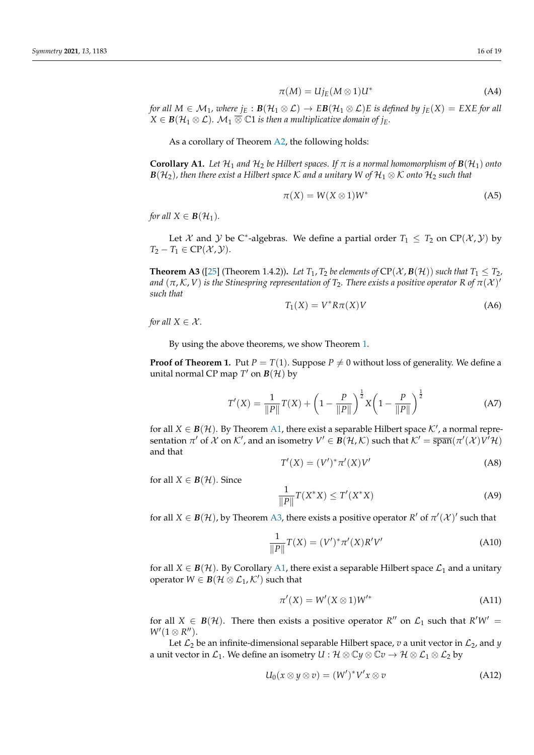$$
\pi(M) = Uj_E(M \otimes 1)U^*
$$
 (A4)

*for all*  $M \in \mathcal{M}_1$ , where  $j_E : \mathbf{B}(\mathcal{H}_1 \otimes \mathcal{L}) \to \mathbf{EB}(\mathcal{H}_1 \otimes \mathcal{L})E$  is defined by  $j_E(X) = EXE$  for all  $X \in \mathbf{B}(\mathcal{H}_1 \otimes \mathcal{L})$ *.*  $\mathcal{M}_1 \overline{\otimes} \mathbb{C}1$  *is then a multiplicative domain of j<sub>E</sub>.* 

As a corollary of Theorem [A2,](#page-14-1) the following holds:

<span id="page-15-1"></span>**Corollary A1.** Let  $\mathcal{H}_1$  and  $\mathcal{H}_2$  be Hilbert spaces. If  $\pi$  is a normal homomorphism of  $B(\mathcal{H}_1)$  onto *B*( $\mathcal{H}_2$ ), then there exist a Hilbert space K and a unitary W of  $\mathcal{H}_1 \otimes \mathcal{K}$  onto  $\mathcal{H}_2$  such that

$$
\pi(X) = W(X \otimes 1)W^*
$$
 (A5)

*for all*  $X \in B(\mathcal{H}_1)$ *.* 

Let X and Y be C<sup>\*</sup>-algebras. We define a partial order  $T_1 \leq T_2$  on  $\text{CP}(\mathcal{X}, \mathcal{Y})$  by  $T_2 - T_1 \in \mathbb{CP}(\mathcal{X}, \mathcal{Y}).$ 

<span id="page-15-0"></span>**Theorem A3** ([\[25\]](#page-17-29) (Theorem 1.4.2)). Let  $T_1$ ,  $T_2$  be elements of CP( $\mathcal{X}, \mathcal{B}(\mathcal{H})$ ) such that  $T_1 \leq T_2$ ,  $a$ nd  $(\pi,\mathcal{K},V)$  is the Stinespring representation of  $T_2$ . There exists a positive operator R of  $\pi(\mathcal{X})'$ *such that*

$$
T_1(X) = V^* R \pi(X) V \tag{A6}
$$

*for all*  $X \in \mathcal{X}$ *.* 

By using the above theorems, we show Theorem [1.](#page-4-1)

**Proof of Theorem 1.** Put  $P = T(1)$ . Suppose  $P \neq 0$  without loss of generality. We define a unital normal CP map  $T'$  on  $B(\mathcal{H})$  by

$$
T'(X) = \frac{1}{\|P\|} T(X) + \left(1 - \frac{P}{\|P\|}\right)^{\frac{1}{2}} X \left(1 - \frac{P}{\|P\|}\right)^{\frac{1}{2}}
$$
(A7)

for all  $X \in B(\mathcal{H})$ . By Theorem [A1,](#page-14-2) there exist a separable Hilbert space  $\mathcal{K}'$ , a normal representation  $\pi'$  of  $\mathcal X$  on  $\mathcal K'$ , and an isometry  $V'\in B({\cal H},{\cal K})$  such that  ${\cal K}'=\overline{\text{span}}(\pi'({\cal X})V^{\bar{\jmath}}{\cal H})$ and that

$$
T'(X) = (V')^* \pi'(X) V'
$$
 (A8)

for all  $X \in B(H)$ . Since

$$
\frac{1}{\|P\|}T(X^*X) \le T'(X^*X) \tag{A9}
$$

for all  $X \in B(\mathcal{H})$ , by Theorem [A3,](#page-15-0) there exists a positive operator  $R'$  of  $\pi'(\mathcal{X})'$  such that

$$
\frac{1}{\|P\|}T(X) = (V')^* \pi'(X) R' V'
$$
\n(A10)

for all  $X \in B(H)$ . By Corollary [A1,](#page-15-1) there exist a separable Hilbert space  $\mathcal{L}_1$  and a unitary operator  $W \in B(\mathcal{H} \otimes \mathcal{L}_1, \mathcal{K}')$  such that

$$
\pi'(X) = W'(X \otimes 1)W'^{*}
$$
 (A11)

for all  $X \in B(\mathcal{H})$ . There then exists a positive operator  $R''$  on  $\mathcal{L}_1$  such that  $R'W' =$  $W'(1 \otimes R'')$ .

Let  $\mathcal{L}_2$  be an infinite-dimensional separable Hilbert space, *v* a unit vector in  $\mathcal{L}_2$ , and *y* a unit vector in  $\mathcal{L}_1$ . We define an isometry  $U : \mathcal{H} \otimes \mathbb{C}y \otimes \mathbb{C}v \to \mathcal{H} \otimes \mathcal{L}_1 \otimes \mathcal{L}_2$  by

$$
U_0(x \otimes y \otimes v) = (W')^* V' x \otimes v \tag{A12}
$$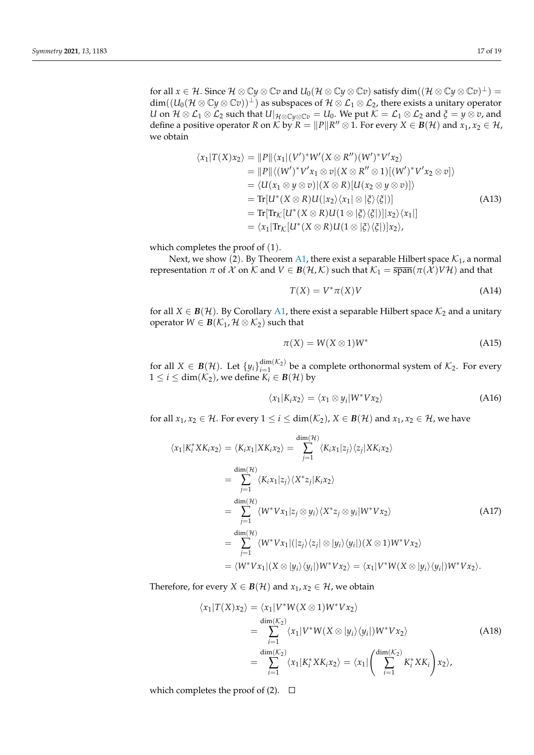$$
\langle x_1|T(X)x_2\rangle = ||P||\langle x_1|(V')^*W'(X \otimes R'')(W')^*V'x_2\rangle
$$
  
\n
$$
= ||P||\langle (W')^*V'x_1 \otimes v|(X \otimes R'' \otimes 1)[(W')^*V'x_2 \otimes v]\rangle
$$
  
\n
$$
= \langle U(x_1 \otimes y \otimes v)|(X \otimes R)[U(x_2 \otimes y \otimes v)]\rangle
$$
  
\n
$$
= \text{Tr}[U^*(X \otimes R)U(|x_2\rangle\langle x_1| \otimes |\xi\rangle\langle \xi|)] \qquad (A13)
$$
  
\n
$$
= \text{Tr}[\text{Tr}_{\mathcal{K}}[U^*(X \otimes R)U(1 \otimes |\xi\rangle\langle \xi|)]|x_2\rangle\langle x_1|]
$$
  
\n
$$
= \langle x_1|\text{Tr}_{\mathcal{K}}[U^*(X \otimes R)U(1 \otimes |\xi\rangle\langle \xi|)]x_2\rangle,
$$

which completes the proof of (1).

Next, we show (2). By Theorem [A1,](#page-14-2) there exist a separable Hilbert space  $\mathcal{K}_1$ , a normal representation  $\pi$  of  $\mathcal X$  on  $\mathcal K$  and  $V \in B(\mathcal H,\mathcal K)$  such that  $\mathcal K_1 = \overline{\text{span}}(\pi(\mathcal X)V\mathcal H)$  and that

$$
T(X) = V^* \pi(X) V \tag{A14}
$$

for all  $X \in B(H)$ . By Corollary [A1,](#page-15-1) there exist a separable Hilbert space  $\mathcal{K}_2$  and a unitary operator  $W \in B(\mathcal{K}_1, \mathcal{H} \otimes \mathcal{K}_2)$  such that

$$
\pi(X) = W(X \otimes 1)W^*
$$
\n(A15)

for all  $X \in B(\mathcal{H})$ . Let  $\{y_i\}_{i=1}^{\dim(\mathcal{K}_2)}$  be a complete orthonormal system of  $\mathcal{K}_2$ . For every  $1 \leq i \leq \dim(\mathcal{K}_2)$ , we define  $K_i \in \mathcal{B}(\mathcal{H})$  by

$$
\langle x_1 | K_i x_2 \rangle = \langle x_1 \otimes y_i | W^* V x_2 \rangle \tag{A16}
$$

for all  $x_1, x_2 \in \mathcal{H}$ . For every  $1 \leq i \leq \dim(\mathcal{K}_2)$ ,  $X \in \mathcal{B}(\mathcal{H})$  and  $x_1, x_2 \in \mathcal{H}$ , we have

$$
\langle x_1 | K_i^* X K_i x_2 \rangle = \langle K_i x_1 | X K_i x_2 \rangle = \sum_{j=1}^{\dim(\mathcal{H})} \langle K_i x_1 | z_j \rangle \langle z_j | X K_i x_2 \rangle
$$
  
\n
$$
= \sum_{j=1}^{\dim(\mathcal{H})} \langle K_i x_1 | z_j \rangle \langle X^* z_j | K_i x_2 \rangle
$$
  
\n
$$
= \sum_{j=1}^{\dim(\mathcal{H})} \langle W^* V x_1 | z_j \otimes y_i \rangle \langle X^* z_j \otimes y_i | W^* V x_2 \rangle
$$
  
\n
$$
= \sum_{j=1}^{\dim(\mathcal{H})} \langle W^* V x_1 | (|z_j\rangle \langle z_j| \otimes |y_i\rangle \langle y_i|) (X \otimes 1) W^* V x_2 \rangle
$$
  
\n
$$
= \langle W^* V x_1 | (X \otimes |y_i\rangle \langle y_i|) W^* V x_2 \rangle = \langle x_1 | V^* W (X \otimes |y_i\rangle \langle y_i|) W^* V x_2 \rangle.
$$
 (A17)

Therefore, for every *X*  $\in$  *B*( $\mathcal{H}$ ) and *x*<sub>1</sub>, *x*<sub>2</sub>  $\in$  *H*, we obtain

$$
\langle x_1 | T(X) x_2 \rangle = \langle x_1 | V^* W(X \otimes 1) W^* V x_2 \rangle
$$
  
\n
$$
= \sum_{i=1}^{\dim(K_2)} \langle x_1 | V^* W(X \otimes |y_i \rangle \langle y_i |) W^* V x_2 \rangle
$$
  
\n
$$
= \sum_{i=1}^{\dim(K_2)} \langle x_1 | K_i^* X K_i x_2 \rangle = \langle x_1 | \left( \sum_{i=1}^{\dim(K_2)} K_i^* X K_i \right) x_2 \rangle,
$$
\n(A18)

which completes the proof of (2).  $\Box$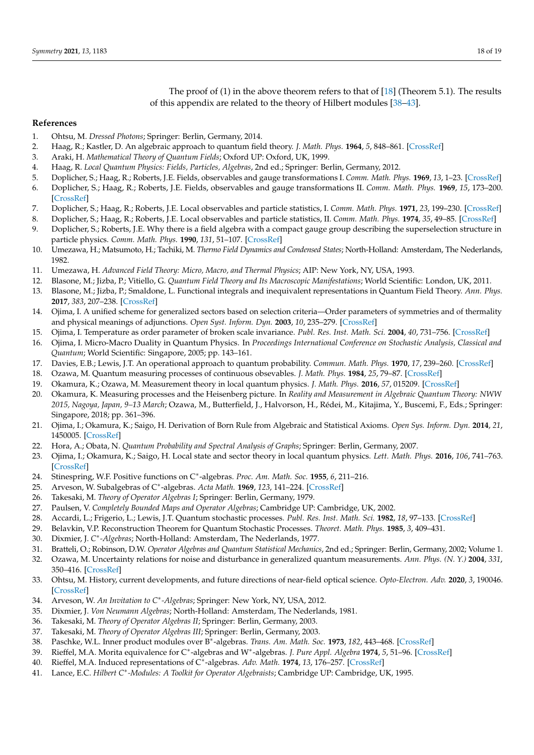The proof of (1) in the above theorem refers to that of [\[18\]](#page-17-12) (Theorem 5.1). The results of this appendix are related to the theory of Hilbert modules [\[38](#page-17-30)[–43\]](#page-18-0).

#### **References**

- <span id="page-17-0"></span>1. Ohtsu, M. *Dressed Photons*; Springer: Berlin, Germany, 2014.
- <span id="page-17-1"></span>2. Haag, R.; Kastler, D. An algebraic approach to quantum field theory. *J. Math. Phys.* **1964**, *5*, 848–861. [\[CrossRef\]](http://doi.org/10.1063/1.1704187)
- 3. Araki, H. *Mathematical Theory of Quantum Fields*; Oxford UP: Oxford, UK, 1999.
- <span id="page-17-2"></span>4. Haag, R. *Local Quantum Physics: Fields, Particles, Algebras*, 2nd ed.; Springer: Berlin, Germany, 2012.
- <span id="page-17-3"></span>5. Doplicher, S.; Haag, R.; Roberts, J.E. Fields, observables and gauge transformations I. *Comm. Math. Phys.* **1969**, *13*, 1–23. [\[CrossRef\]](http://dx.doi.org/10.1007/BF01645267)
- 6. Doplicher, S.; Haag, R.; Roberts, J.E. Fields, observables and gauge transformations II. *Comm. Math. Phys.* **1969**, *15*, 173–200. [\[CrossRef\]](http://dx.doi.org/10.1007/BF01645674)
- 7. Doplicher, S.; Haag, R.; Roberts, J.E. Local observables and particle statistics, I. *Comm. Math. Phys.* **1971**, *23*, 199–230. [\[CrossRef\]](http://dx.doi.org/10.1007/BF01877742)
- <span id="page-17-4"></span>8. Doplicher, S.; Haag, R.; Roberts, J.E. Local observables and particle statistics, II. *Comm. Math. Phys.* **1974**, *35*, 49–85. [\[CrossRef\]](http://dx.doi.org/10.1007/BF01646454)
- <span id="page-17-5"></span>9. Doplicher, S.; Roberts, J.E. Why there is a field algebra with a compact gauge group describing the superselection structure in particle physics. *Comm. Math. Phys.* **1990**, *131*, 51–107. [\[CrossRef\]](http://dx.doi.org/10.1007/BF02097680)
- <span id="page-17-6"></span>10. Umezawa, H.; Matsumoto, H.; Tachiki, M. *Thermo Field Dynamics and Condensed States*; North-Holland: Amsterdam, The Nederlands, 1982.
- 11. Umezawa, H. *Advanced Field Theory: Micro, Macro, and Thermal Physics*; AIP: New York, NY, USA, 1993.
- 12. Blasone, M.; Jizba, P.; Vitiello, G. *Quantum Field Theory and Its Macroscopic Manifestations*; World Scientific: London, UK, 2011.
- <span id="page-17-7"></span>13. Blasone, M.; Jizba, P.; Smaldone, L. Functional integrals and inequivalent representations in Quantum Field Theory. *Ann. Phys.* **2017**, *383*, 207–238. [\[CrossRef\]](http://dx.doi.org/10.1016/j.aop.2017.05.022)
- <span id="page-17-8"></span>14. Ojima, I. A unified scheme for generalized sectors based on selection criteria—Order parameters of symmetries and of thermality and physical meanings of adjunctions. *Open Syst. Inform. Dyn.* **2003**, *10*, 235–279. [\[CrossRef\]](http://dx.doi.org/10.1023/A:1025175907589)
- <span id="page-17-9"></span>15. Ojima, I. Temperature as order parameter of broken scale invariance. *Publ. Res. Inst. Math. Sci.* **2004**, *40*, 731–756. [\[CrossRef\]](http://dx.doi.org/10.2977/prims/1145475491)
- <span id="page-17-10"></span>16. Ojima, I. Micro-Macro Duality in Quantum Physics. In *Proceedings International Conference on Stochastic Analysis, Classical and Quantum*; World Scientific: Singapore, 2005; pp. 143–161.
- <span id="page-17-11"></span>17. Davies, E.B.; Lewis, J.T. An operational approach to quantum probability. *Commun. Math. Phys.* **1970**, *17*, 239–260. [\[CrossRef\]](http://dx.doi.org/10.1007/BF01647093)
- <span id="page-17-12"></span>18. Ozawa, M. Quantum measuring processes of continuous obsevables. *J. Math. Phys.* **1984**, *25*, 79–87. [\[CrossRef\]](http://dx.doi.org/10.1063/1.526000)
- <span id="page-17-13"></span>19. Okamura, K.; Ozawa, M. Measurement theory in local quantum physics. *J. Math. Phys.* **2016**, *57*, 015209. [\[CrossRef\]](http://dx.doi.org/10.1063/1.4935407)
- <span id="page-17-14"></span>20. Okamura, K. Measuring processes and the Heisenberg picture. In *Reality and Measurement in Algebraic Quantum Theory: NWW 2015, Nagoya, Japan, 9–13 March*; Ozawa, M., Butterfield, J., Halvorson, H., Rédei, M., Kitajima, Y., Buscemi, F., Eds.; Springer: Singapore, 2018; pp. 361–396.
- <span id="page-17-15"></span>21. Ojima, I.; Okamura, K.; Saigo, H. Derivation of Born Rule from Algebraic and Statistical Axioms. *Open Sys. Inform. Dyn.* **2014**, *21*, 1450005. [\[CrossRef\]](http://dx.doi.org/10.1142/S123016121450005X)
- <span id="page-17-16"></span>22. Hora, A.; Obata, N. *Quantum Probability and Spectral Analysis of Graphs*; Springer: Berlin, Germany, 2007.
- <span id="page-17-17"></span>23. Ojima, I.; Okamura, K.; Saigo, H. Local state and sector theory in local quantum physics. *Lett. Math. Phys.* **2016**, *106*, 741–763. [\[CrossRef\]](http://dx.doi.org/10.1007/s11005-016-0841-y)
- <span id="page-17-18"></span>24. Stinespring, W.F. Positive functions on C<sup>∗</sup> -algebras. *Proc. Am. Math. Soc.* **1955**, *6*, 211–216.
- <span id="page-17-29"></span>25. Arveson, W. Subalgebras of C<sup>∗</sup> -algebras. *Acta Math.* **1969**, *123*, 141–224. [\[CrossRef\]](http://dx.doi.org/10.1007/BF02392388)
- <span id="page-17-24"></span>26. Takesaki, M. *Theory of Operator Algebras I*; Springer: Berlin, Germany, 1979.
- <span id="page-17-19"></span>27. Paulsen, V. *Completely Bounded Maps and Operator Algebras*; Cambridge UP: Cambridge, UK, 2002.
- <span id="page-17-20"></span>28. Accardi, L.; Frigerio, L.; Lewis, J.T. Quantum stochastic processes. *Publ. Res. Inst. Math. Sci.* **1982**, *18*, 97–133. [\[CrossRef\]](http://dx.doi.org/10.2977/prims/1195184017)
- <span id="page-17-21"></span>29. Belavkin, V.P. Reconstruction Theorem for Quantum Stochastic Processes. *Theoret. Math. Phys.* **1985**, *3*, 409–431.
- <span id="page-17-22"></span>30. Dixmier, J. C<sup>\*</sup>-Algebras; North-Holland: Amsterdam, The Nederlands, 1977.
- <span id="page-17-23"></span>31. Bratteli, O.; Robinson, D.W. *Operator Algebras and Quantum Statistical Mechanics*, 2nd ed.; Springer: Berlin, Germany, 2002; Volume 1.
- <span id="page-17-25"></span>32. Ozawa, M. Uncertainty relations for noise and disturbance in generalized quantum measurements. *Ann. Phys. (N. Y.)* **2004**, *331*, 350–416. [\[CrossRef\]](http://dx.doi.org/10.1016/j.aop.2003.12.012)
- <span id="page-17-26"></span>33. Ohtsu, M. History, current developments, and future directions of near-field optical science. *Opto-Electron. Adv.* **2020**, *3*, 190046. [\[CrossRef\]](http://dx.doi.org/10.29026/oea.2020.190046)
- <span id="page-17-27"></span>34. Arveson, W. *An Invitation to C*<sup>∗</sup> *-Algebras*; Springer: New York, NY, USA, 2012.
- 35. Dixmier, J. *Von Neumann Algebras*; North-Holland: Amsterdam, The Nederlands, 1981.
- 36. Takesaki, M. *Theory of Operator Algebras II*; Springer: Berlin, Germany, 2003.
- <span id="page-17-28"></span>37. Takesaki, M. *Theory of Operator Algebras III*; Springer: Berlin, Germany, 2003.
- <span id="page-17-30"></span>38. Paschke, W.L. Inner product modules over B<sup>∗</sup> -algebras. *Trans. Am. Math. Soc.* **1973**, *182*, 443–468. [\[CrossRef\]](http://dx.doi.org/10.2307/1996542)
- 39. Rieffel, M.A. Morita equivalence for C<sup>∗</sup> -algebras and W<sup>∗</sup> -algebras. *J. Pure Appl. Algebra* **1974**, *5*, 51–96. [\[CrossRef\]](http://dx.doi.org/10.1016/0022-4049(74)90003-6)
- 40. Rieffel, M.A. Induced representations of C<sup>∗</sup> -algebras. *Adv. Math.* **1974**, *13*, 176–257. [\[CrossRef\]](http://dx.doi.org/10.1016/0001-8708(74)90068-1)
- 41. Lance, E.C. *Hilbert C*<sup>∗</sup> *-Modules: A Toolkit for Operator Algebraists*; Cambridge UP: Cambridge, UK, 1995.